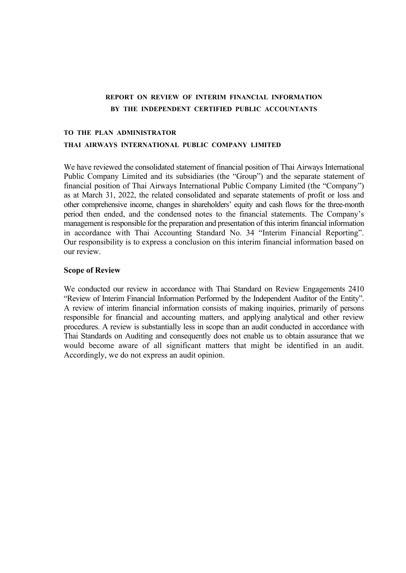# **REPORT ON REVIEW OF INTERIM FINANCIAL INFORMATION BY THE INDEPENDENT CERTIFIED PUBLIC ACCOUNTANTS**

# **TO THE PLAN ADMINISTRATOR THAI AIRWAYS INTERNATIONAL PUBLIC COMPANY LIMITED**

We have reviewed the consolidated statement of financial position of Thai Airways International Public Company Limited and its subsidiaries (the "Group") and the separate statement of financial position of Thai Airways International Public Company Limited (the "Company") as at March 31, 2022, the related consolidated and separate statements of profit or loss and other comprehensive income, changes in shareholders' equity and cash flows for the three-month period then ended, and the condensed notes to the financial statements. The Company's management is responsible for the preparation and presentation of this interim financial information in accordance with Thai Accounting Standard No. 34 "Interim Financial Reporting". Our responsibility is to express a conclusion on this interim financial information based on our review.

## **Scope of Review**

We conducted our review in accordance with Thai Standard on Review Engagements 2410 "Review of Interim Financial Information Performed by the Independent Auditor of the Entity". A review of interim financial information consists of making inquiries, primarily of persons responsible for financial and accounting matters, and applying analytical and other review procedures. A review is substantially less in scope than an audit conducted in accordance with Thai Standards on Auditing and consequently does not enable us to obtain assurance that we would become aware of all significant matters that might be identified in an audit. Accordingly, we do not express an audit opinion.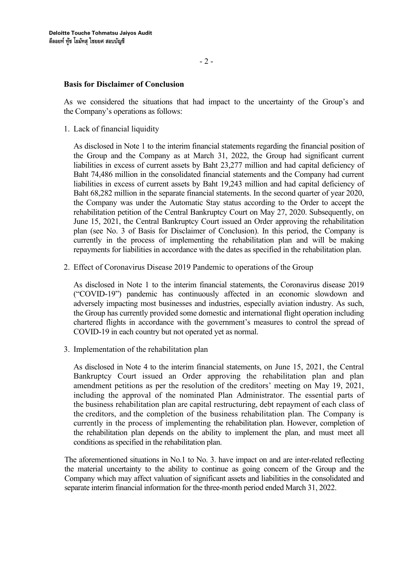## **Basis for Disclaimer of Conclusion**

As we considered the situations that had impact to the uncertainty of the Group's and the Company's operations as follows:

1. Lack of financial liquidity

As disclosed in Note 1 to the interim financial statements regarding the financial position of the Group and the Company as at March 31, 2022, the Group had significant current liabilities in excess of current assets by Baht 23,277 million and had capital deficiency of Baht 74,486 million in the consolidated financial statements and the Company had current liabilities in excess of current assets by Baht 19,243 million and had capital deficiency of Baht 68,282 million in the separate financial statements. In the second quarter of year 2020, the Company was under the Automatic Stay status according to the Order to accept the rehabilitation petition of the Central Bankruptcy Court on May 27, 2020. Subsequently, on June 15, 2021, the Central Bankruptcy Court issued an Order approving the rehabilitation plan (see No. 3 of Basis for Disclaimer of Conclusion). In this period, the Company is currently in the process of implementing the rehabilitation plan and will be making repayments for liabilities in accordance with the dates as specified in the rehabilitation plan.

2. Effect of Coronavirus Disease 2019 Pandemic to operations of the Group

As disclosed in Note 1 to the interim financial statements, the Coronavirus disease 2019 ("COVID-19") pandemic has continuously affected in an economic slowdown and adversely impacting most businesses and industries, especially aviation industry. As such, the Group has currently provided some domestic and international flight operation including chartered flights in accordance with the government's measures to control the spread of COVID-19 in each country but not operated yet as normal.

3. Implementation of the rehabilitation plan

As disclosed in Note 4 to the interim financial statements, on June 15, 2021, the Central Bankruptcy Court issued an Order approving the rehabilitation plan and plan amendment petitions as per the resolution of the creditors' meeting on May 19, 2021, including the approval of the nominated Plan Administrator. The essential parts of the business rehabilitation plan are capital restructuring, debt repayment of each class of the creditors, and the completion of the business rehabilitation plan. The Company is currently in the process of implementing the rehabilitation plan. However, completion of the rehabilitation plan depends on the ability to implement the plan, and must meet all conditions as specified in the rehabilitation plan.

The aforementioned situations in No.1 to No. 3. have impact on and are inter-related reflecting the material uncertainty to the ability to continue as going concern of the Group and the Company which may affect valuation of significant assets and liabilities in the consolidated and separate interim financial information for the three-month period ended March 31, 2022.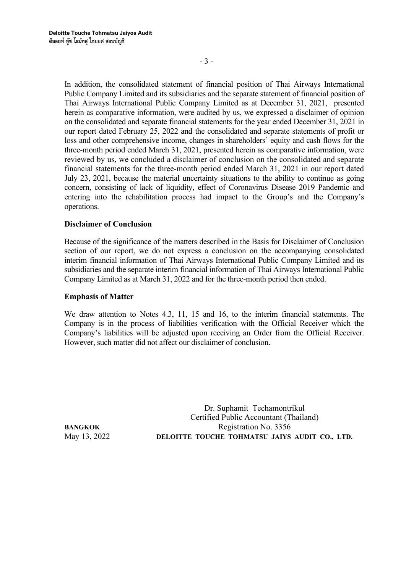- 3 -

In addition, the consolidated statement of financial position of Thai Airways International Public Company Limited and its subsidiaries and the separate statement of financial position of Thai Airways International Public Company Limited as at December 31, 2021, presented herein as comparative information, were audited by us, we expressed a disclaimer of opinion on the consolidated and separate financial statements for the year ended December 31, 2021 in our report dated February 25, 2022 and the consolidated and separate statements of profit or loss and other comprehensive income, changes in shareholders' equity and cash flows for the three-month period ended March 31, 2021, presented herein as comparative information, were reviewed by us, we concluded a disclaimer of conclusion on the consolidated and separate financial statements for the three-month period ended March 31, 2021 in our report dated July 23, 2021, because the material uncertainty situations to the ability to continue as going concern, consisting of lack of liquidity, effect of Coronavirus Disease 2019 Pandemic and entering into the rehabilitation process had impact to the Group's and the Company's operations.

## **Disclaimer of Conclusion**

Because of the significance of the matters described in the Basis for Disclaimer of Conclusion section of our report, we do not express a conclusion on the accompanying consolidated interim financial information of Thai Airways International Public Company Limited and its subsidiaries and the separate interim financial information of Thai Airways International Public Company Limited as at March 31, 2022 and for the three-month period then ended.

## **Emphasis of Matter**

We draw attention to Notes 4.3, 11, 15 and 16, to the interim financial statements. The Company is in the process of liabilities verification with the Official Receiver which the Company's liabilities will be adjusted upon receiving an Order from the Official Receiver. However, such matter did not affect our disclaimer of conclusion.

Dr. Suphamit Techamontrikul Certified Public Accountant (Thailand) **BANGKOK** Registration No. 3356 May 13, 2022 **DELOITTE TOUCHE TOHMATSU JAIYS AUDIT CO., LTD.**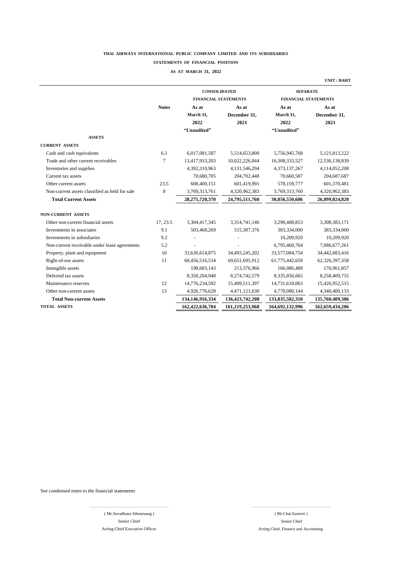#### **STATEMENTS OF FINANCIAL POSITION**

#### **AS AT MARCH 31, 2022**

|                                                |              | <b>CONSOLIDATED</b><br><b>FINANCIAL STATEMENTS</b> |                 | <b>SEPARATE</b><br><b>FINANCIAL STATEMENTS</b> |                  |
|------------------------------------------------|--------------|----------------------------------------------------|-----------------|------------------------------------------------|------------------|
|                                                | <b>Notes</b> | As at                                              | As at           | As at                                          | As at            |
|                                                |              | March 31,                                          | December 31,    | March 31,                                      | December 31,     |
|                                                |              | 2022                                               | 2021            | 2022                                           | 2021             |
|                                                |              | "Unaudited"                                        |                 | "Unaudited"                                    |                  |
| <b>ASSETS</b>                                  |              |                                                    |                 |                                                |                  |
| <b>CURRENT ASSETS</b>                          |              |                                                    |                 |                                                |                  |
| Cash and cash equivalents                      | 6.1          | 6,017,081,587                                      | 5,514,653,800   | 5,756,945,768                                  | 5, 121, 813, 222 |
| Trade and other current receivables            | $\tau$       | 13,417,933,203                                     | 10,022,226,844  | 16,308,333,527                                 | 12,536,138,839   |
| Inventories and supplies                       |              | 4,392,310,963                                      | 4,131,546,294   | 4,373,137,267                                  | 4,114,052,208    |
| Current tax assets                             |              | 70,680,705                                         | 204,702,448     | 70,660,587                                     | 204,687,687      |
| Other current assets                           | 23.5         | 608,400,151                                        | 601,419,991     | 578,159,777                                    | 601,370,481      |
| Non-current assets classified as held for sale | 8            | 3,769,313,761                                      | 4,320,962,383   | 3,769,313,760                                  | 4,320,962,383    |
| <b>Total Current Assets</b>                    |              | 28,275,720,370                                     | 24,795,511,760  | 30,856,550,686                                 | 26,899,024,820   |
| <b>NON-CURRENT ASSETS</b>                      |              |                                                    |                 |                                                |                  |
| Other non-current financial assets             | 17, 23.5     | 3,304,417,345                                      | 3,314,741,146   | 3,290,408,853                                  | 3,308,383,171    |
| Investments in associates                      | 9.1          | 503,468,269                                        | 515,307,376     | 383,334,000                                    | 383,334,000      |
| Investments in subsidiaries                    | 9.2          |                                                    |                 | 10,209,920                                     | 10,209,920       |
| Non-current receivable under lease agreements  | 5.2          |                                                    |                 | 6,795,460,764                                  | 7,086,677,261    |
| Property, plant and equipment                  | 10           | 33,630,614,875                                     | 34,493,245,202  | 33,577,084,754                                 | 34,442,683,416   |
| Right-of-use assets                            | 11           | 68,456,516,534                                     | 69,651,695,912  | 61,775,442,659                                 | 62,326,397,358   |
| Intangible assets                              |              | 198,683,143                                        | 213,376,966     | 166,086,488                                    | 176,961,857      |
| Deferred tax assets                            |              | 8,350,204,948                                      | 8,274,742,579   | 8,335,856,665                                  | 8,258,409,755    |
| Maintenance reserves                           | 12           | 14,776,234,592                                     | 15,489,511,397  | 14,731,618,063                                 | 15,426,952,515   |
| Other non-current assets                       | 13           | 4,926,776,628                                      | 4,471,121,630   | 4,770,080,144                                  | 4,340,400,133    |
| <b>Total Non-current Assets</b>                |              | 134,146,916,334                                    | 136,423,742,208 | 133,835,582,310                                | 135,760,409,386  |
| <b>TOTAL ASSETS</b>                            |              | 162,422,636,704                                    | 161,219,253,968 | 164,692,132,996                                | 162,659,434,206  |

………………………………………………… …………………………………………………

See condensed notes to the financial statements

( Mr.Suvadhana Sibunruang ) ( Mr.Chai Eamsiri ) Senior Chief Acting Chief Executive Officer

 Senior Chief Acting Chief, Finance and Accounting

**UNIT : BAHT**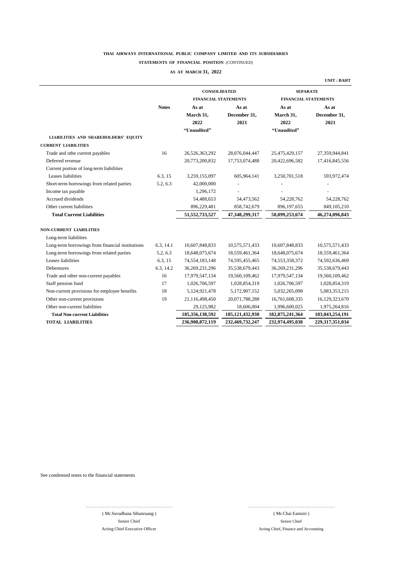#### **STATEMENTS OF FINANCIAL POSITION** (CONTINUED)

#### **AS AT MARCH 31, 2022**

|                                                  |              |                                  |                      |                                  | <b>UNIT: BAHT</b>    |
|--------------------------------------------------|--------------|----------------------------------|----------------------|----------------------------------|----------------------|
|                                                  |              | <b>CONSOLIDATED</b>              |                      | <b>SEPARATE</b>                  |                      |
|                                                  |              | <b>FINANCIAL STATEMENTS</b>      |                      | <b>FINANCIAL STATEMENTS</b>      |                      |
|                                                  | <b>Notes</b> | As at                            | As at                | As at                            | As at                |
|                                                  |              | March 31,<br>2022<br>"Unaudited" | December 31,<br>2021 | March 31,<br>2022<br>"Unaudited" | December 31,<br>2021 |
| <b>LIABILITIES AND SHAREHOLDERS' EQUITY</b>      |              |                                  |                      |                                  |                      |
| <b>CURRENT LIABILITIES</b>                       |              |                                  |                      |                                  |                      |
| Trade and othe current payables                  | 16           | 26,526,363,292                   | 28,076,044,447       | 25,475,429,157                   | 27,359,944,841       |
| Deferred revenue                                 |              | 20,773,200,832                   | 17,753,074,488       | 20,422,696,582                   | 17,416,845,556       |
| Current portion of long-term liabilities         |              |                                  |                      |                                  |                      |
| Leases liabilities                               | 6.3, 15      | 3,259,155,097                    | 605,964,141          | 3,250,701,518                    | 593,972,474          |
| Short-term borrowings from related parties       | 5.2, 6.3     | 42,000,000                       |                      |                                  |                      |
| Income tax payable                               |              | 1,296,172                        |                      |                                  |                      |
| Accrued dividends                                |              | 54,488,653                       | 54,473,562           | 54,228,762                       | 54,228,762           |
| Other current liabilities                        |              | 896,229,481                      | 858,742,679          | 896,197,655                      | 849,105,210          |
| <b>Total Current Liabilities</b>                 |              | 51, 552, 733, 527                | 47,348,299,317       | 50,099,253,674                   | 46,274,096,843       |
| <b>NON-CURRENT LIABILITIES</b>                   |              |                                  |                      |                                  |                      |
| Long-term liabilities                            |              |                                  |                      |                                  |                      |
| Long-term borrowings from financial institutions | 6.3, 14.1    | 10,607,848,833                   | 10,575,571,433       | 10,607,848,833                   | 10,575,571,433       |
| Long-term borrowings from related parties        | 5.2, 6.3     | 18,648,075,674                   | 18,559,461,364       | 18,648,075,674                   | 18,559,461,364       |
| Leases liabilities                               | 6.3, 15      | 74,554,183,148                   | 74,595,455,465       | 74,553,358,372                   | 74,592,636,469       |
| <b>Debentures</b>                                | 6.3, 14.2    | 36,269,231,296                   | 35,538,679,443       | 36,269,231,296                   | 35,538,679,443       |
| Trade and other non-current payables             | 16           | 17,979,547,134                   | 19,560,109,462       | 17,979,547,134                   | 19,560,109,462       |
| Staff pension fund                               | 17           | 1,026,706,597                    | 1,028,854,319        | 1,026,706,597                    | 1,028,854,319        |
| Non-current provisions for employee benefits     | 18           | 5,124,921,478                    | 5,172,907,152        | 5,032,265,098                    | 5,083,353,215        |
| Other non-current provisions                     | 19           | 21,116,498,450                   | 20,071,788,288       | 16,761,608,335                   | 16,129,323,670       |
| Other non-current liabilities                    |              | 29,125,982                       | 18,606,004           | 1,996,600,025                    | 1,975,264,816        |
| <b>Total Non-current Liabilities</b>             |              | 185,356,138,592                  | 185, 121, 432, 930   | 182, 875, 241, 364               | 183,043,254,191      |
| <b>TOTAL LIABILITIES</b>                         |              | 236,908,872,119                  | 232,469,732,247      | 232,974,495,038                  | 229,317,351,034      |

See condensed notes to the financial statements

………………………………………………… ………………………………………………… ( Mr.Suvadhana Sibunruang )

Acting Chief Executive Officer

 Acting Chief, Finance and Accounting ( Mr.Chai Eamsiri ) Senior Chief Senior Chief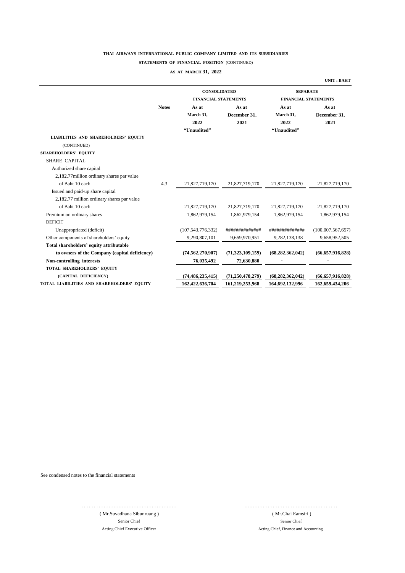#### **STATEMENTS OF FINANCIAL POSITION** (CONTINUED)

#### **AS AT MARCH 31, 2022**

|                                               |              | <b>CONSOLIDATED</b>         |                     | <b>SEPARATE</b>             |                     |  |
|-----------------------------------------------|--------------|-----------------------------|---------------------|-----------------------------|---------------------|--|
|                                               |              | <b>FINANCIAL STATEMENTS</b> |                     | <b>FINANCIAL STATEMENTS</b> |                     |  |
|                                               | <b>Notes</b> | As at                       | As at               | As at                       | As at               |  |
|                                               |              | March 31,                   | December 31,        | March 31,                   | December 31,        |  |
|                                               |              | 2022                        | 2021                | 2022                        | 2021                |  |
|                                               |              | "Unaudited"                 |                     | "Unaudited"                 |                     |  |
| <b>LIABILITIES AND SHAREHOLDERS' EQUITY</b>   |              |                             |                     |                             |                     |  |
| (CONTINUED)                                   |              |                             |                     |                             |                     |  |
| <b>SHAREHOLDERS' EQUITY</b>                   |              |                             |                     |                             |                     |  |
| <b>SHARE CAPITAL</b>                          |              |                             |                     |                             |                     |  |
| Authorized share capital                      |              |                             |                     |                             |                     |  |
| 2,182.77 million ordinary shares par value    |              |                             |                     |                             |                     |  |
| of Baht 10 each                               | 4.3          | 21,827,719,170              | 21,827,719,170      | 21,827,719,170              | 21,827,719,170      |  |
| Issued and paid-up share capital              |              |                             |                     |                             |                     |  |
| 2,182.77 million ordinary shares par value    |              |                             |                     |                             |                     |  |
| of Baht 10 each                               |              | 21,827,719,170              | 21,827,719,170      | 21,827,719,170              | 21,827,719,170      |  |
| Premium on ordinary shares                    |              | 1,862,979,154               | 1,862,979,154       | 1,862,979,154               | 1,862,979,154       |  |
| <b>DEFICIT</b>                                |              |                             |                     |                             |                     |  |
| Unappropriated (deficit)                      |              | (107, 543, 776, 332)        | ##############      | ##############              | (100,007,567,657)   |  |
| Other components of shareholders' equity      |              | 9,290,807,101               | 9,659,970,951       | 9,282,138,138               | 9,658,952,505       |  |
| Total shareholders' equity attributable       |              |                             |                     |                             |                     |  |
| to owners of the Company (capital deficiency) |              | (74, 562, 270, 907)         | (71,323,109,159)    | (68, 282, 362, 042)         | (66, 657, 916, 828) |  |
| Non-controlling interests                     |              | 76,035,492                  | 72,630,880          |                             |                     |  |
| TOTAL SHAREHOLDERS' EQUITY                    |              |                             |                     |                             |                     |  |
| (CAPITAL DEFICIENCY)                          |              | (74, 486, 235, 415)         | (71, 250, 478, 279) | (68, 282, 362, 042)         | (66, 657, 916, 828) |  |
| TOTAL LIABILITIES AND SHAREHOLDERS' EQUITY    |              | 162,422,636,704             | 161,219,253,968     | 164,692,132,996             | 162,659,434,206     |  |

See condensed notes to the financial statements

………………………………………………… ( Mr.Suvadhana Sibunruang )

Acting Chief Executive Officer Acting Chief, Finance and Accounting Senior Chief Senior Chief

 ………………………………………………… ( Mr.Chai Eamsiri )

**UNIT : BAHT**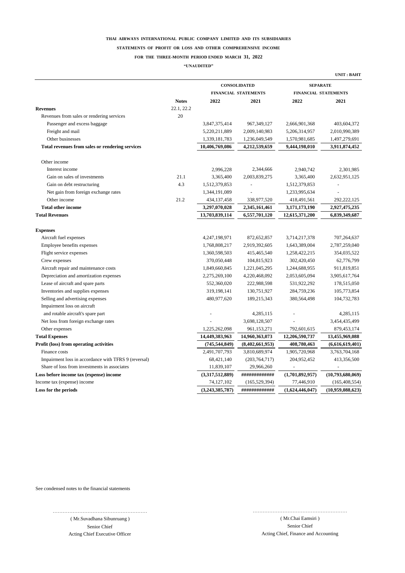#### **STATEMENTS OF PROFIT OR LOSS AND OTHER COMPREHENSIVE INCOME**

#### **FOR THE THREE-MONTH PERIOD ENDED MARCH 31, 2022**

**"UNAUDITED"**

|                                                      |              |                 | CONSOLIDATED                | <b>SEPARATE</b>             |                  |  |
|------------------------------------------------------|--------------|-----------------|-----------------------------|-----------------------------|------------------|--|
|                                                      |              |                 | <b>FINANCIAL STATEMENTS</b> | <b>FINANCIAL STATEMENTS</b> |                  |  |
|                                                      | <b>Notes</b> | 2022            | 2021                        | 2022                        | 2021             |  |
| <b>Revenues</b>                                      | 22.1, 22.2   |                 |                             |                             |                  |  |
| Revenues from sales or rendering services            | 20           |                 |                             |                             |                  |  |
| Passenger and excess baggage                         |              | 3,847,375,414   | 967,349,127                 | 2,666,901,368               | 403,604,372      |  |
| Freight and mail                                     |              | 5,220,211,889   | 2,009,140,983               | 5,206,314,957               | 2,010,990,389    |  |
| Other businesses                                     |              | 1,339,181,783   | 1,236,049,549               | 1,570,981,685               | 1,497,279,691    |  |
| Total revenues from sales or rendering services      |              | 10,406,769,086  | 4,212,539,659               | 9,444,198,010               | 3,911,874,452    |  |
| Other income                                         |              |                 |                             |                             |                  |  |
| Interest income                                      |              | 2,996,228       | 2,344,666                   | 2,940,742                   | 2,301,985        |  |
| Gain on sales of investments                         | 21.1         | 3,365,400       | 2,003,839,275               | 3,365,400                   | 2,632,951,125    |  |
| Gain on debt restructuring                           | 4.3          | 1,512,379,853   |                             | 1,512,379,853               |                  |  |
| Net gain from foreign exchange rates                 |              | 1,344,191,089   |                             | 1,233,995,634               |                  |  |
| Other income                                         | 21.2         | 434,137,458     | 338,977,520                 | 418,491,561                 | 292, 222, 125    |  |
| <b>Total other income</b>                            |              | 3,297,070,028   | 2,345,161,461               | 3,171,173,190               | 2,927,475,235    |  |
| <b>Total Revenues</b>                                |              | 13,703,839,114  | 6,557,701,120               | 12,615,371,200              | 6,839,349,687    |  |
| <b>Expenses</b>                                      |              |                 |                             |                             |                  |  |
| Aircraft fuel expenses                               |              | 4,247,198,971   | 872,652,857                 | 3,714,217,378               | 707,264,637      |  |
| Employee benefits expenses                           |              | 1,768,808,217   | 2,919,392,605               | 1,643,389,004               | 2,787,259,040    |  |
| Flight service expenses                              |              | 1,360,598,503   | 415,465,540                 | 1,258,422,215               | 354,035,522      |  |
| Crew expenses                                        |              | 370,050,448     | 104,815,923                 | 302,420,450                 | 62,776,799       |  |
| Aircraft repair and maintenance costs                |              | 1,849,660,845   | 1,221,045,295               | 1,244,688,955               | 911,819,851      |  |
| Depreciation and amortization expenses               |              | 2,275,269,100   | 4,220,468,092               | 2,053,605,094               | 3,905,617,764    |  |
| Lease of aircraft and spare parts                    |              | 552,360,020     | 222,988,598                 | 531,922,292                 | 178,515,050      |  |
| Inventories and supplies expenses                    |              | 319,198,141     | 130,751,927                 | 284,759,236                 | 105,773,854      |  |
| Selling and advertising expenses                     |              | 480,977,620     | 189,215,343                 | 380,564,498                 | 104,732,783      |  |
| Impairment loss on aircraft                          |              |                 |                             |                             |                  |  |
| and rotable aircraft's spare part                    |              |                 | 4,285,115                   |                             | 4,285,115        |  |
| Net loss from foreign exchange rates                 |              |                 | 3,698,128,507               |                             | 3,454,435,499    |  |
| Other expenses                                       |              | 1,225,262,098   | 961,153,271                 | 792,601,615                 | 879,453,174      |  |
| <b>Total Expenses</b>                                |              | 14,449,383,963  | 14,960,363,073              | 12,206,590,737              | 13,455,969,088   |  |
| Profit (loss) from operating activities              |              | (745, 544, 849) | (8,402,661,953)             | 408,780,463                 | (6,616,619,401)  |  |
| Finance costs                                        |              | 2,491,707,793   | 3,810,689,974               | 1,905,720,968               | 3,763,704,168    |  |
| Impairment loss in accordance with TFRS 9 (reversal) |              | 68,421,140      | (203, 764, 717)             | 204,952,452                 | 413,356,500      |  |
| Share of loss from investments in associates         |              | 11,839,107      | 29,966,260                  |                             |                  |  |
| Loss before income tax (expense) income              |              | (3,317,512,889) | #############               | (1,701,892,957)             | (10,793,680,069) |  |
| Income tax (expense) income                          |              | 74,127,102      | (165, 529, 394)             | 77,446,910                  | (165, 408, 554)  |  |
| Loss for the periods                                 |              | (3,243,385,787) | #############               | (1,624,446,047)             | (10,959,088,623) |  |

See condensed notes to the financial statements

…………………………………………………

( Mr.Suvadhana Sibunruang ) Senior Chief Acting Chief Executive Officer

( Mr.Chai Eamsiri ) Senior Chief Acting Chief, Finance and Accounting

…………………………………………………

**UNIT : BAHT**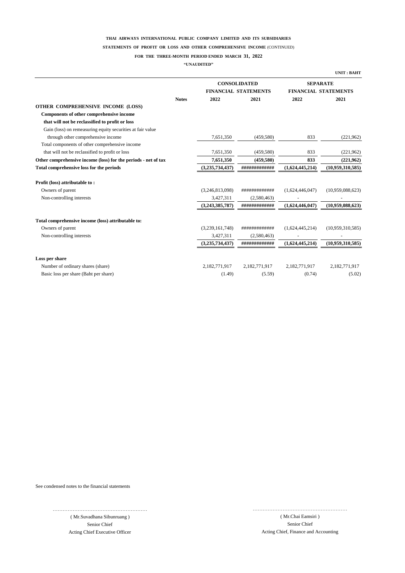#### **STATEMENTS OF PROFIT OR LOSS AND OTHER COMPREHENSIVE INCOME** (CONTINUED)

#### **FOR THE THREE-MONTH PERIOD ENDED MARCH 31, 2022**

**"UNAUDITED"**

|                                                                |              |                 |                             |                 | <b>UNIT: BAHT</b>           |
|----------------------------------------------------------------|--------------|-----------------|-----------------------------|-----------------|-----------------------------|
|                                                                |              |                 | <b>CONSOLIDATED</b>         |                 | <b>SEPARATE</b>             |
|                                                                |              |                 | <b>FINANCIAL STATEMENTS</b> |                 | <b>FINANCIAL STATEMENTS</b> |
|                                                                | <b>Notes</b> | 2022            | 2021                        | 2022            | 2021                        |
| OTHER COMPREHENSIVE INCOME (LOSS)                              |              |                 |                             |                 |                             |
| Components of other comprehensive income                       |              |                 |                             |                 |                             |
| that will not be reclassified to profit or loss                |              |                 |                             |                 |                             |
| Gain (loss) on remeasuring equity securities at fair value     |              |                 |                             |                 |                             |
| through other comprehensive income                             |              | 7,651,350       | (459, 580)                  | 833             | (221,962)                   |
| Total components of other comprehensive income                 |              |                 |                             |                 |                             |
| that will not be reclassified to profit or loss                |              | 7,651,350       | (459, 580)                  | 833             | (221,962)                   |
| Other comprehensive income (loss) for the periods - net of tax |              | 7,651,350       | (459, 580)                  | 833             | (221,962)                   |
| Total comprehensive loss for the periods                       |              | (3,235,734,437) | #############               | (1,624,445,214) | (10,959,310,585)            |
| Profit (loss) attributable to:                                 |              |                 |                             |                 |                             |
| Owners of parent                                               |              | (3,246,813,098) | #############               | (1,624,446,047) | (10,959,088,623)            |
| Non-controlling interests                                      |              | 3,427,311       | (2,580,463)                 |                 |                             |
|                                                                |              | (3,243,385,787) | #############               | (1,624,446,047) | (10,959,088,623)            |
| Total comprehensive income (loss) attributable to:             |              |                 |                             |                 |                             |
| Owners of parent                                               |              | (3,239,161,748) | #############               | (1,624,445,214) | (10,959,310,585)            |
| Non-controlling interests                                      |              | 3,427,311       | (2,580,463)                 |                 |                             |
|                                                                |              | (3,235,734,437) | #############               | (1,624,445,214) | (10,959,310,585)            |
| Loss per share                                                 |              |                 |                             |                 |                             |
| Number of ordinary shares (share)                              |              | 2,182,771,917   | 2,182,771,917               | 2,182,771,917   | 2,182,771,917               |
| Basic loss per share (Baht per share)                          |              | (1.49)          | (5.59)                      | (0.74)          | (5.02)                      |

See condensed notes to the financial statements

………………………………………………… ( Mr.Suvadhana Sibunruang ) Senior Chief

Acting Chief Executive Officer Acting Chief, Finance and Accounting ( Mr.Chai Eamsiri ) Senior Chief

…………………………………………………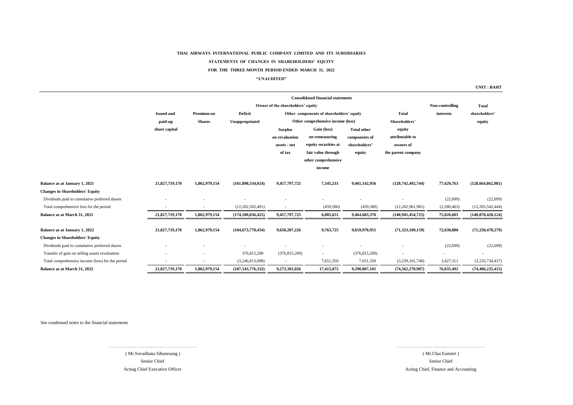#### **STATEMENTS OF CHANGES IN SHAREHOLDERS' EQUITY**

#### **FOR THE THREE-MONTH PERIOD ENDED MARCH 31, 2022**

#### **"UNAUDITED"**

**UNIT : BAHT**

|                                                  |                                   |               |                      |                 | <b>Consolidated financial statements</b> |                    |                      |                 |                      |
|--------------------------------------------------|-----------------------------------|---------------|----------------------|-----------------|------------------------------------------|--------------------|----------------------|-----------------|----------------------|
|                                                  | Owner of the shareholders' equity |               |                      |                 |                                          |                    |                      | Non-controlling | <b>Total</b>         |
|                                                  | <b>Issued and</b>                 | Premium on    | <b>Deficit</b>       |                 | Other components of shareholders' equity |                    | <b>Total</b>         | interests       | shareholders'        |
|                                                  | paid-up                           | <b>Shares</b> | Unappropriated       |                 | Other comprehensive income (loss)        |                    | Shareholders'        |                 | equity               |
|                                                  | share capital                     |               |                      | <b>Surplus</b>  | Gain (loss)                              | <b>Total other</b> | equity               |                 |                      |
|                                                  |                                   |               |                      | on revaluation  | on remeasuring                           | components of      | attributable to      |                 |                      |
|                                                  |                                   |               |                      | assets - net    | equity securities at                     | shareholders'      | owners of            |                 |                      |
|                                                  |                                   |               |                      | of tax          | fair value through                       | equity             | the parent company   |                 |                      |
|                                                  |                                   |               |                      |                 | other comprehensive                      |                    |                      |                 |                      |
|                                                  |                                   |               |                      |                 | income                                   |                    |                      |                 |                      |
| Balance as at January 1, 2021                    | 21,827,719,170                    | 1,862,979,154 | (161, 898, 334, 024) | 9,457,797,725   | 7,345,231                                | 9,465,142,956      | (128, 742, 492, 744) | 77,629,763      | (128, 664, 862, 981) |
| <b>Changes in Shareholders' Equity</b>           |                                   |               |                      |                 |                                          |                    |                      |                 |                      |
| Dividends paid to cumulative preferred shares    |                                   |               |                      |                 |                                          |                    |                      | (22, 699)       | (22, 699)            |
| Total comprehensive loss for the period          |                                   |               | (12,202,502,401)     |                 | (459, 580)                               | (459, 580)         | (12,202,961,981)     | (2,580,463)     | (12,205,542,444)     |
| Balance as at March 31, 2021                     | 21,827,719,170                    | 1,862,979,154 | (174, 100, 836, 425) | 9,457,797,725   | 6,885,651                                | 9,464,683,376      | (140, 945, 454, 725) | 75,026,601      | (140, 870, 428, 124) |
| Balance as at January 1, 2022                    | 21,827,719,170                    | 1,862,979,154 | (104, 673, 778, 434) | 9,650,207,226   | 9,763,725                                | 9,659,970,951      | (71,323,109,159)     | 72,630,880      | (71, 250, 478, 279)  |
| <b>Changes in Shareholders' Equity</b>           |                                   |               |                      |                 |                                          |                    |                      |                 |                      |
| Dividends paid to cumulative preferred shares    |                                   |               |                      |                 |                                          |                    |                      | (22, 699)       | (22, 699)            |
| Transfer of gain on selling assets revaluation   |                                   |               | 376,815,200          | (376, 815, 200) |                                          | (376, 815, 200)    |                      |                 |                      |
| Total comprehensive income (loss) for the period |                                   |               | (3,246,813,098)      |                 | 7,651,350                                | 7,651,350          | (3,239,161,748)      | 3,427,311       | (3,235,734,437)      |
| Balance as at March 31, 2022                     | 21,827,719,170                    | 1,862,979,154 | (107, 543, 776, 332) | 9,273,392,026   | 17,415,075                               | 9,290,807,101      | (74, 562, 270, 907)  | 76,035,492      | (74, 486, 235, 415)  |
|                                                  |                                   |               |                      |                 |                                          |                    |                      |                 |                      |

See condensed notes to the financial statements

Acting Chief Executive Officer Senior Chief ( Mr.Suvadhana Sibunruang )

…………………………………………………

Acting Chief, Finance and Accounting ( Mr.Chai Eamsiri ) Senior Chief

…………………………………………………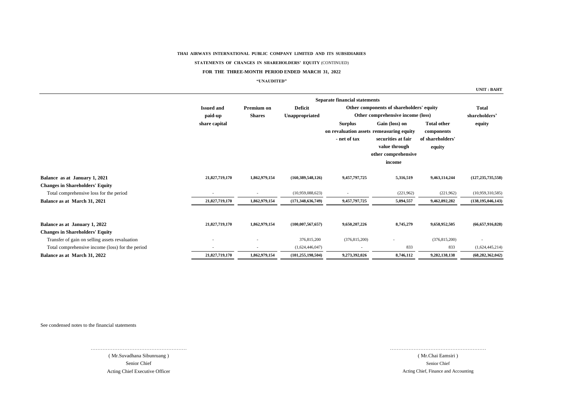**STATEMENTS OF CHANGES IN SHAREHOLDERS' EQUITY** (CONTINUED)

#### **FOR THE THREE-MONTH PERIOD ENDED MARCH 31, 2022**

#### **"UNAUDITED"**

**UNIT : BAHT**

|                                                                         |                   | <b>Separate financial statements</b> |                      |                                |                                                                                                                                    |                                                                |                         |  |  |
|-------------------------------------------------------------------------|-------------------|--------------------------------------|----------------------|--------------------------------|------------------------------------------------------------------------------------------------------------------------------------|----------------------------------------------------------------|-------------------------|--|--|
|                                                                         | <b>Issued and</b> | Premium on                           | <b>Deficit</b>       |                                | Other components of shareholders' equity                                                                                           |                                                                |                         |  |  |
|                                                                         | paid-up           | <b>Shares</b>                        | Unappropriated       |                                | Other comprehensive income (loss)                                                                                                  |                                                                | shareholders'<br>equity |  |  |
|                                                                         | share capital     |                                      |                      | <b>Surplus</b><br>- net of tax | Gain (loss) on<br>on revaluation assets remeasuring equity<br>securities at fair<br>value through<br>other comprehensive<br>income | <b>Total other</b><br>components<br>of shareholders'<br>equity |                         |  |  |
| Balance as at January 1, 2021                                           | 21,827,719,170    | 1,862,979,154                        | (160, 389, 548, 126) | 9,457,797,725                  | 5,316,519                                                                                                                          | 9,463,114,244                                                  | (127, 235, 735, 558)    |  |  |
| <b>Changes in Shareholders' Equity</b>                                  |                   |                                      |                      |                                |                                                                                                                                    |                                                                |                         |  |  |
| Total comprehensive loss for the period                                 |                   |                                      | (10,959,088,623)     |                                | (221,962)                                                                                                                          | (221, 962)                                                     | (10,959,310,585)        |  |  |
| Balance as at March 31, 2021                                            | 21,827,719,170    | 1,862,979,154                        | (171, 348, 636, 749) | 9,457,797,725                  | 5,094,557                                                                                                                          | 9,462,892,282                                                  | (138, 195, 046, 143)    |  |  |
| Balance as at January 1, 2022<br><b>Changes in Shareholders' Equity</b> | 21,827,719,170    | 1,862,979,154                        | (100, 007, 567, 657) | 9,650,207,226                  | 8,745,279                                                                                                                          | 9,658,952,505                                                  | (66, 657, 916, 828)     |  |  |
| Transfer of gain on selling assets revaluation                          |                   |                                      | 376,815,200          | (376, 815, 200)                |                                                                                                                                    | (376, 815, 200)                                                |                         |  |  |
| Total comprehensive income (loss) for the period                        |                   |                                      | (1,624,446,047)      |                                | 833                                                                                                                                | 833                                                            | (1,624,445,214)         |  |  |
| Balance as at March 31, 2022                                            | 21,827,719,170    | 1,862,979,154                        | (101, 255, 198, 504) | 9,273,392,026                  | 8,746,112                                                                                                                          | 9,282,138,138                                                  | (68, 282, 362, 042)     |  |  |

See condensed notes to the financial statements

Senior Chief Acting Chief Executive Officer ………………………………………………… ( Mr.Suvadhana Sibunruang )

…………………………………………………

Senior Chief ( Mr.Chai Eamsiri ) Acting Chief, Finance and Accounting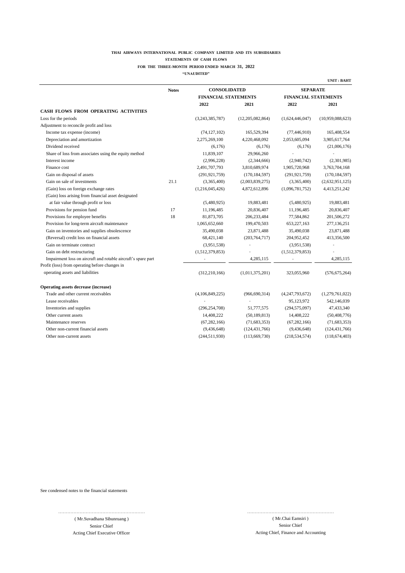#### **THAI AIRWAYS INTERNATIONAL PUBLIC COMPANY LIMITED AND ITS SUBSIDIARIES STATEMENTS OF CASH FLOWS**

#### **FOR THE THREE-MONTH PERIOD ENDED MARCH 31, 2022**

**"UNAUDITED"**

|                                                               | <b>Notes</b> | <b>CONSOLIDATED</b>         |                  | <b>SEPARATE</b>             |                  |  |
|---------------------------------------------------------------|--------------|-----------------------------|------------------|-----------------------------|------------------|--|
|                                                               |              | <b>FINANCIAL STATEMENTS</b> |                  | <b>FINANCIAL STATEMENTS</b> |                  |  |
|                                                               |              | 2022                        | 2021             | 2022                        | 2021             |  |
| CASH FLOWS FROM OPERATING ACTIVITIES                          |              |                             |                  |                             |                  |  |
| Loss for the periods                                          |              | (3,243,385,787)             | (12,205,082,864) | (1,624,446,047)             | (10.959.088.623) |  |
| Adjustment to reconcile profit and loss                       |              |                             |                  |                             |                  |  |
| Income tax expense (income)                                   |              | (74, 127, 102)              | 165,529,394      | (77, 446, 910)              | 165,408,554      |  |
| Depreciation and amortization                                 |              | 2,275,269,100               | 4,220,468,092    | 2,053,605,094               | 3,905,617,764    |  |
| Dividend received                                             |              | (6,176)                     | (6,176)          | (6,176)                     | (21,006,176)     |  |
| Share of loss from associates using the equity method         |              | 11,839,107                  | 29,966,260       |                             |                  |  |
| Interest income                                               |              | (2,996,228)                 | (2,344,666)      | (2,940,742)                 | (2,301,985)      |  |
| Finance cost                                                  |              | 2,491,707,793               | 3,810,689,974    | 1,905,720,968               | 3,763,704,168    |  |
| Gain on disposal of assets                                    |              | (291, 921, 759)             | (170, 184, 597)  | (291, 921, 759)             | (170, 184, 597)  |  |
| Gain on sale of investments                                   | 21.1         | (3,365,400)                 | (2,003,839,275)  | (3,365,400)                 | (2,632,951,125)  |  |
| (Gain) loss on foreign exchange rates                         |              | (1,216,045,426)             | 4,872,612,896    | (1,096,781,752)             | 4,413,251,242    |  |
| (Gain) loss arising from financial asset designated           |              |                             |                  |                             |                  |  |
| at fair value through profit or loss                          |              | (5,480,925)                 | 19,883,481       | (5,480,925)                 | 19,883,481       |  |
| Provisions for pension fund                                   | 17           | 11,196,485                  | 20,836,407       | 11,196,485                  | 20,836,407       |  |
| Provisions for employee benefits                              | 18           | 81,873,705                  | 206,233,484      | 77,584,862                  | 201,506,272      |  |
| Provision for long-term aircraft maintenance                  |              | 1,065,652,660               | 199,470,503      | 653,227,163                 | 277,136,251      |  |
| Gain on inventories and supplies obsolescence                 |              | 35,490,038                  | 23,871,488       | 35,490,038                  | 23,871,488       |  |
| (Reversal) credit loss on financial assets                    |              | 68,421,140                  | (203, 764, 717)  | 204,952,452                 | 413,356,500      |  |
| Gain on terminate contract                                    |              | (3,951,538)                 |                  | (3,951,538)                 |                  |  |
| Gain on debt restructuring                                    |              | (1,512,379,853)             |                  | (1,512,379,853)             |                  |  |
| Impairment loss on aircraft and rotable aircraft's spare part |              |                             | 4,285,115        |                             | 4,285,115        |  |
| Profit (loss) from operating before changes in                |              |                             |                  |                             |                  |  |
| operating assets and liabilities                              |              | (312, 210, 166)             | (1,011,375,201)  | 323,055,960                 | (576, 675, 264)  |  |
| Operating assets decrease (increase)                          |              |                             |                  |                             |                  |  |
| Trade and other current receivables                           |              | (4,106,849,225)             | (966, 690, 314)  | (4,247,793,672)             | (1,279,761,022)  |  |
| Lease receivables                                             |              |                             |                  | 95,123,972                  | 542,146,039      |  |
| Inventories and supplies                                      |              | (296, 254, 708)             | 51,777,575       | (294, 575, 097)             | 47,433,340       |  |
| Other current assets                                          |              | 14,408,222                  | (50, 189, 813)   | 14,408,222                  | (50, 408, 776)   |  |
| Maintenance reserves                                          |              | (67, 282, 166)              | (71,683,353)     | (67, 282, 166)              | (71, 683, 353)   |  |
| Other non-current financial assets                            |              | (9,436,648)                 | (124, 431, 766)  | (9,436,648)                 | (124, 431, 766)  |  |
| Other non-current assets                                      |              | (244, 511, 930)             | (113, 669, 730)  | (218, 534, 574)             | (118, 674, 403)  |  |

See condensed notes to the financial statements

( Mr.Suvadhana Sibunruang ) Senior Chief

…………………………………………………

Acting Chief Executive Officer and Accounting Chief, Finance and Accounting Chief, Finance and Accounting Senior Chief ( Mr.Chai Eamsiri )

…………………………………………………

**UNIT : BAHT**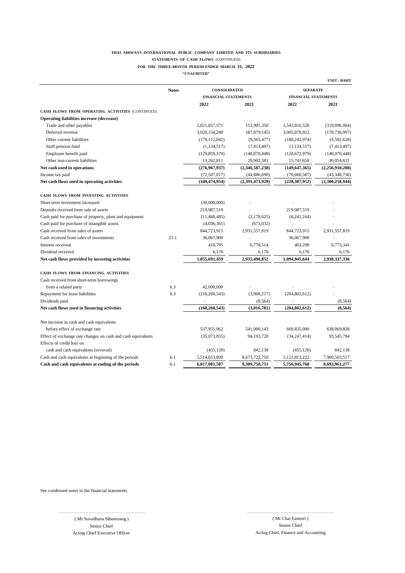#### **THAI AIRWAYS INTERNATIONAL PUBLIC COMPANY LIMITED AND ITS SUBSIDIARIES STATEMENTS OF CASH FLOWS** (CONTINUED)

#### **FOR THE THREE-MONTH PERIOD ENDED MARCH 31, 2022**

**"UNAUDITED"**

|                                                              |              |                             |                 |                                | <b>UNIT: BAHT</b> |  |
|--------------------------------------------------------------|--------------|-----------------------------|-----------------|--------------------------------|-------------------|--|
|                                                              | <b>Notes</b> | <b>CONSOLIDATED</b>         |                 | <b>SEPARATE</b>                |                   |  |
|                                                              |              | <b>FINANCIAL STATEMENTS</b> |                 | <b>FINANCIAL STATEMENTS</b>    |                   |  |
|                                                              |              | 2022                        | 2021            | 2022                           | 2021              |  |
| CASH FLOWS FROM OPERATING ACTIVITIES (CONTINUED)             |              |                             |                 |                                |                   |  |
| <b>Operating liabilities increase (decrease)</b>             |              |                             |                 |                                |                   |  |
| Trade and other payables                                     |              | 2,021,857,571               | 153,901,350     | 1,543,816,528                  | (319,096,064)     |  |
| Deferred revenue                                             |              | 3,020,154,240               | (87,079,145)    | 3,005,878,922                  | (178, 736, 997)   |  |
| Other current liabilities                                    |              | (179, 112, 042)             | (9,565,477)     | (180, 242, 974)                | (9,592,628)       |  |
| Staff pension fund                                           |              | (1, 134, 517)               | (7,413,497)     | (1, 134, 517)                  | (7,413,497)       |  |
| Employee benefit paid                                        |              | (129, 859, 379)             | (140,070,448)   | (128, 672, 979)                | (140,070,448)     |  |
| Other non-current liabilities                                |              | 13,262,811                  | 29,902,581      | 15,741,658                     | 30,054,631        |  |
| Net cash used in operations                                  |              | (276,967,937)               | (2,346,587,238) | (149, 647, 365)                | (2,256,910,208)   |  |
| Income tax paid                                              |              | (72, 507, 017)              | (44,886,690)    | (70,660,587)                   | (43,348,736)      |  |
| Net cash flows used in operating activities                  |              | (349, 474, 954)             | (2,391,473,928) | (220, 307, 952)                | (2,300,258,944)   |  |
| CASH FLOWS FROM INVESTING ACTIVITIES                         |              |                             |                 |                                |                   |  |
| Short term investment increased                              |              | (30,000,000)                |                 |                                |                   |  |
| Deposits received from sale of assets                        |              | 219,987,519                 |                 | 219,987,519                    |                   |  |
| Cash paid for purchase of property, plant and equipment      |              | (11, 468, 485)              | (2,178,625)     | (6,243,164)                    |                   |  |
| Cash paid for purchase of intangible assets                  |              | (4,036,361)                 | (673, 032)      |                                |                   |  |
| Cash received from sales of assets                           |              | 844,723,915                 | 2,931,557,819   | 844,723,915                    | 2,931,557,819     |  |
| Cash received from sales of investments                      | 21.1         | 36,067,900                  |                 | 36,067,900                     |                   |  |
| Interest received                                            |              | 410,795                     | 6,778,514       | 403,298                        | 6,773,341         |  |
| Dividend received                                            |              | 6,176                       | 6,176           | 6,176                          | 6,176             |  |
| Net cash flows provided by investing activities              |              | 1,055,691,459               | 2.935.490.852   | 1.094.945.644                  | 2,938,337,336     |  |
| CASH FLOWS FROM FINANCING ACTIVITIES                         |              |                             |                 |                                |                   |  |
| Cash received from short-term borrowings                     |              |                             |                 |                                |                   |  |
| from a related party                                         | 6.3          | 42,000,000                  |                 |                                |                   |  |
| Repayment for lease liabilities                              | 6.3          | (210, 260, 543)             | (3,008,217)     | (204, 802, 612)                |                   |  |
| Dividends paid                                               |              |                             | (8, 564)        |                                | (8, 564)          |  |
| Net cash flows used in financing activities                  |              | (168, 260, 543)             | (3,016,781)     | (204, 802, 612)                | (8,564)           |  |
|                                                              |              |                             |                 |                                |                   |  |
| Net increase in cash and cash equivalents                    |              |                             |                 |                                |                   |  |
| before effect of exchange rate                               |              | 537,955,962                 | 541,000,143     | 669,835,080                    | 638,069,828       |  |
| Effect of exchange rate changes on cash and cash equivalents |              | (35,073,055)                | 94, 193, 720    | (34, 247, 414)                 | 93,545,794        |  |
| Effects of credit loss on                                    |              |                             |                 |                                |                   |  |
| cash and cash equivalents (reversal)                         | 6.1          | (455, 120)                  | 842,138         | (455, 120)<br>5, 121, 813, 222 | 842,138           |  |
| Cash and cash equivalents at beginning of the periods        |              | 5,514,653,800               | 8,673,722,750   |                                | 7,960,503,517     |  |
| Cash and cash equivalents at ending of the periods           | 6.1          | 6,017,081,587               | 9,309,758,751   | 5,756,945,768                  | 8,692,961,277     |  |

See condensed notes to the financial statements

( Mr.Suvadhana Sibunruang ) Senior Chief Acting Chief Executive Officer and Accounting Chief, Finance and Accounting Chief, Finance and Accounting

…………………………………………………

Senior Chief ………………………………………………… ( Mr.Chai Eamsiri )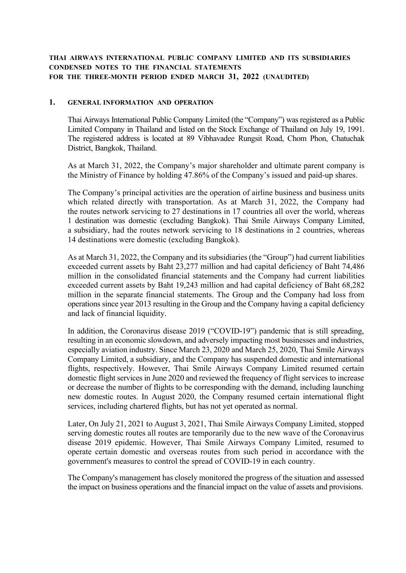# **THAI AIRWAYS INTERNATIONAL PUBLIC COMPANY LIMITED AND ITS SUBSIDIARIES CONDENSED NOTES TO THE FINANCIAL STATEMENTS FOR THE THREE-MONTH PERIOD ENDED MARCH 31, 2022 (UNAUDITED)**

## **1. GENERAL INFORMATION AND OPERATION**

Thai Airways International Public Company Limited (the "Company") was registered as a Public Limited Company in Thailand and listed on the Stock Exchange of Thailand on July 19, 1991. The registered address is located at 89 Vibhavadee Rungsit Road, Chom Phon, Chatuchak District, Bangkok, Thailand.

As at March 31, 2022, the Company's major shareholder and ultimate parent company is the Ministry of Finance by holding 47.86% of the Company's issued and paid-up shares.

The Company's principal activities are the operation of airline business and business units which related directly with transportation. As at March 31, 2022, the Company had the routes network servicing to 27 destinations in 17 countries all over the world, whereas 1 destination was domestic (excluding Bangkok). Thai Smile Airways Company Limited, a subsidiary, had the routes network servicing to 18 destinations in 2 countries, whereas 14 destinations were domestic (excluding Bangkok).

As at March 31, 2022, the Company and its subsidiaries (the "Group") had current liabilities exceeded current assets by Baht 23,277 million and had capital deficiency of Baht 74,486 million in the consolidated financial statements and the Company had current liabilities exceeded current assets by Baht 19,243 million and had capital deficiency of Baht 68,282 million in the separate financial statements. The Group and the Company had loss from operations since year 2013 resulting in the Group and the Company having a capital deficiency and lack of financial liquidity.

In addition, the Coronavirus disease 2019 ("COVID-19") pandemic that is still spreading, resulting in an economic slowdown, and adversely impacting most businesses and industries, especially aviation industry. Since March 23, 2020 and March 25, 2020, Thai Smile Airways Company Limited, a subsidiary, and the Company has suspended domestic and international flights, respectively. However, Thai Smile Airways Company Limited resumed certain domestic flight services in June 2020 and reviewed the frequency of flight services to increase or decrease the number of flights to be corresponding with the demand, including launching new domestic routes. In August 2020, the Company resumed certain international flight services, including chartered flights, but has not yet operated as normal.

Later, On July 21, 2021 to August 3, 2021, Thai Smile Airways Company Limited, stopped serving domestic routes all routes are temporarily due to the new wave of the Coronavirus disease 2019 epidemic. However, Thai Smile Airways Company Limited, resumed to operate certain domestic and overseas routes from such period in accordance with the government's measures to control the spread of COVID-19 in each country.

The Company's management has closely monitored the progress of the situation and assessed the impact on business operations and the financial impact on the value of assets and provisions.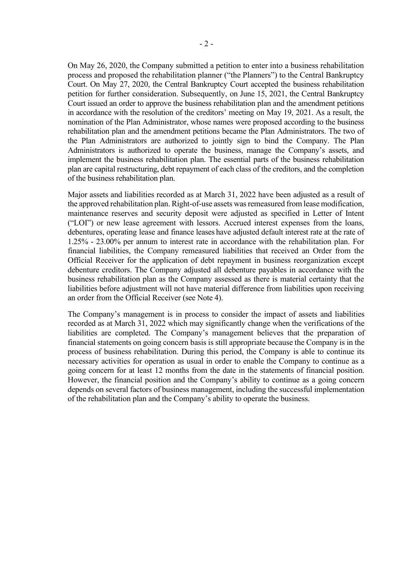On May 26, 2020, the Company submitted a petition to enter into a business rehabilitation process and proposed the rehabilitation planner ("the Planners") to the Central Bankruptcy Court. On May 27, 2020, the Central Bankruptcy Court accepted the business rehabilitation petition for further consideration. Subsequently, on June 15, 2021, the Central Bankruptcy Court issued an order to approve the business rehabilitation plan and the amendment petitions in accordance with the resolution of the creditors' meeting on May 19, 2021. As a result, the nomination of the Plan Administrator, whose names were proposed according to the business rehabilitation plan and the amendment petitions became the Plan Administrators. The two of the Plan Administrators are authorized to jointly sign to bind the Company. The Plan Administrators is authorized to operate the business, manage the Company's assets, and implement the business rehabilitation plan. The essential parts of the business rehabilitation plan are capital restructuring, debt repayment of each class of the creditors, and the completion of the business rehabilitation plan.

Major assets and liabilities recorded as at March 31, 2022 have been adjusted as a result of the approved rehabilitation plan. Right-of-use assets was remeasured from lease modification, maintenance reserves and security deposit were adjusted as specified in Letter of Intent ("LOI") or new lease agreement with lessors. Accrued interest expenses from the loans, debentures, operating lease and finance leases have adjusted default interest rate at the rate of 1.25% - 23.00% per annum to interest rate in accordance with the rehabilitation plan. For financial liabilities, the Company remeasured liabilities that received an Order from the Official Receiver for the application of debt repayment in business reorganization except debenture creditors. The Company adjusted all debenture payables in accordance with the business rehabilitation plan as the Company assessed as there is material certainty that the liabilities before adjustment will not have material difference from liabilities upon receiving an order from the Official Receiver (see Note 4).

The Company's management is in process to consider the impact of assets and liabilities recorded as at March 31, 2022 which may significantly change when the verifications of the liabilities are completed. The Company's management believes that the preparation of financial statements on going concern basis is still appropriate because the Company is in the process of business rehabilitation. During this period, the Company is able to continue its necessary activities for operation as usual in order to enable the Company to continue as a going concern for at least 12 months from the date in the statements of financial position. However, the financial position and the Company's ability to continue as a going concern depends on several factors of business management, including the successful implementation of the rehabilitation plan and the Company's ability to operate the business.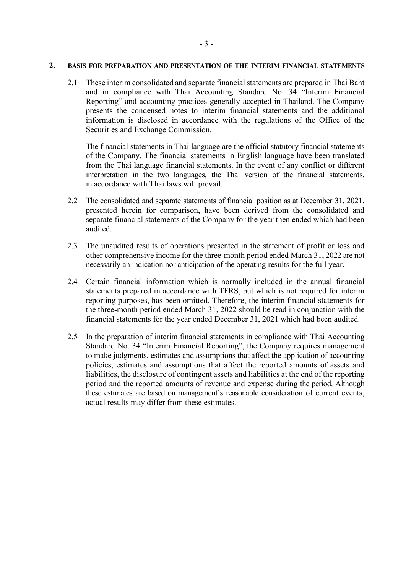#### **2. BASIS FOR PREPARATION AND PRESENTATION OF THE INTERIM FINANCIAL STATEMENTS**

2.1 These interim consolidated and separate financial statements are prepared in Thai Baht and in compliance with Thai Accounting Standard No. 34 "Interim Financial Reporting" and accounting practices generally accepted in Thailand. The Company presents the condensed notes to interim financial statements and the additional information is disclosed in accordance with the regulations of the Office of the Securities and Exchange Commission.

The financial statements in Thai language are the official statutory financial statements of the Company. The financial statements in English language have been translated from the Thai language financial statements. In the event of any conflict or different interpretation in the two languages, the Thai version of the financial statements, in accordance with Thai laws will prevail.

- 2.2 The consolidated and separate statements of financial position as at December 31, 2021, presented herein for comparison, have been derived from the consolidated and separate financial statements of the Company for the year then ended which had been audited.
- 2.3 The unaudited results of operations presented in the statement of profit or loss and other comprehensive income for the three-month period ended March 31, 2022 are not necessarily an indication nor anticipation of the operating results for the full year.
- 2.4 Certain financial information which is normally included in the annual financial statements prepared in accordance with TFRS, but which is not required for interim reporting purposes, has been omitted. Therefore, the interim financial statements for the three-month period ended March 31, 2022 should be read in conjunction with the financial statements for the year ended December 31, 2021 which had been audited.
- 2.5 In the preparation of interim financial statements in compliance with Thai Accounting Standard No. 34 "Interim Financial Reporting", the Company requires management to make judgments, estimates and assumptions that affect the application of accounting policies, estimates and assumptions that affect the reported amounts of assets and liabilities, the disclosure of contingent assets and liabilities at the end of the reporting period and the reported amounts of revenue and expense during the period. Although these estimates are based on management's reasonable consideration of current events, actual results may differ from these estimates.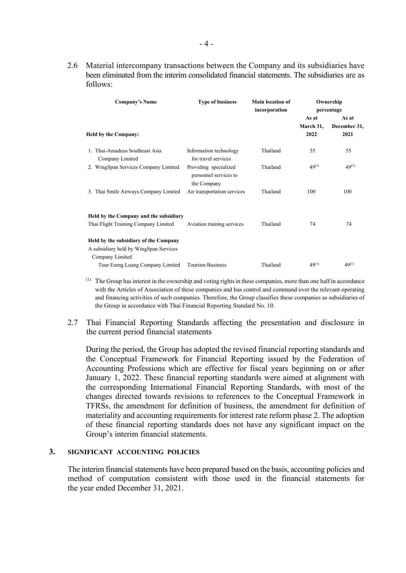2.6 Material intercompany transactions between the Company and its subsidiaries have been eliminated from the interim consolidated financial statements. The subsidiaries are as follows:

| Company's Name                                    | <b>Type of business</b>                                       | Main location of<br>incorporation | Ownership<br>percentage    |                               |  |
|---------------------------------------------------|---------------------------------------------------------------|-----------------------------------|----------------------------|-------------------------------|--|
| <b>Held by the Company:</b>                       |                                                               |                                   | As at<br>March 31,<br>2022 | As at<br>December 31,<br>2021 |  |
| 1. Thai-Amadeus Southeast Asia<br>Company Limited | Information technology<br>for travel services                 | Thailand                          | 55                         | 55                            |  |
| 2. WingSpan Services Company Limited              | Providing specialized<br>personnel services to<br>the Company | Thailand                          | $49^{(1)}$                 | $49^{(1)}$                    |  |
| 3. Thai Smile Airways Company Limited             | Air transportation services                                   | Thailand                          | 100                        | 100                           |  |
| Held by the Company and the subsidiary            |                                                               |                                   |                            |                               |  |
| Thai Flight Training Company Limited              | Aviation training services                                    | Thailand                          | 74                         | 74                            |  |
| Held by the subsidiary of the Company             |                                                               |                                   |                            |                               |  |
| A subsidiary held by WingSpan Services            |                                                               |                                   |                            |                               |  |
| Company Limited                                   |                                                               |                                   |                            |                               |  |
| Tour Eurng Luang Company Limited                  | <b>Tourism Business</b>                                       | Thailand                          | $49^{(1)}$                 | $49^{(1)}$                    |  |

- $<sup>(1)</sup>$  The Group has interest in the ownership and voting rights in these companies, more than one half in accordance</sup> with the Articles of Association of these companies and has control and command over the relevant operating and financing activities of such companies. Therefore, the Group classifies these companies as subsidiaries of the Group in accordance with Thai Financial Reporting Standard No. 10.
- 2.7 Thai Financial Reporting Standards affecting the presentation and disclosure in the current period financial statements

During the period, the Group has adopted the revised financial reporting standards and the Conceptual Framework for Financial Reporting issued by the Federation of Accounting Professions which are effective for fiscal years beginning on or after January 1, 2022. These financial reporting standards were aimed at alignment with the corresponding International Financial Reporting Standards, with most of the changes directed towards revisions to references to the Conceptual Framework in TFRSs, the amendment for definition of business, the amendment for definition of materiality and accounting requirements for interest rate reform phase 2. The adoption of these financial reporting standards does not have any significant impact on the Group's interim financial statements.

# **3. SIGNIFICANT ACCOUNTING POLICIES**

The interim financial statements have been prepared based on the basis, accounting policies and method of computation consistent with those used in the financial statements for the year ended December 31, 2021.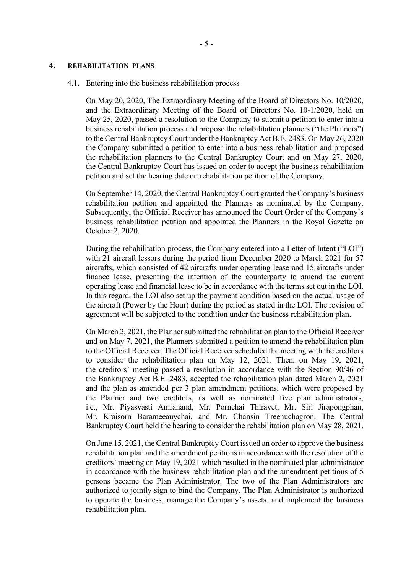#### **4. REHABILITATION PLANS**

#### 4.1. Entering into the business rehabilitation process

On May 20, 2020, The Extraordinary Meeting of the Board of Directors No. 10/2020, and the Extraordinary Meeting of the Board of Directors No. 10-1/2020, held on May 25, 2020, passed a resolution to the Company to submit a petition to enter into a business rehabilitation process and propose the rehabilitation planners ("the Planners") to the Central Bankruptcy Court under the Bankruptcy Act B.E. 2483. On May 26, 2020 the Company submitted a petition to enter into a business rehabilitation and proposed the rehabilitation planners to the Central Bankruptcy Court and on May 27, 2020, the Central Bankruptcy Court has issued an order to accept the business rehabilitation petition and set the hearing date on rehabilitation petition of the Company.

On September 14, 2020, the Central Bankruptcy Court granted the Company's business rehabilitation petition and appointed the Planners as nominated by the Company. Subsequently, the Official Receiver has announced the Court Order of the Company's business rehabilitation petition and appointed the Planners in the Royal Gazette on October 2, 2020.

During the rehabilitation process, the Company entered into a Letter of Intent ("LOI") with 21 aircraft lessors during the period from December 2020 to March 2021 for 57 aircrafts, which consisted of 42 aircrafts under operating lease and 15 aircrafts under finance lease, presenting the intention of the counterparty to amend the current operating lease and financial lease to be in accordance with the terms set out in the LOI. In this regard, the LOI also set up the payment condition based on the actual usage of the aircraft (Power by the Hour) during the period as stated in the LOI. The revision of agreement will be subjected to the condition under the business rehabilitation plan.

On March 2, 2021, the Planner submitted the rehabilitation plan to the Official Receiver and on May 7, 2021, the Planners submitted a petition to amend the rehabilitation plan to the Official Receiver. The Official Receiver scheduled the meeting with the creditors to consider the rehabilitation plan on May 12, 2021. Then, on May 19, 2021, the creditors' meeting passed a resolution in accordance with the Section 90/46 of the Bankruptcy Act B.E. 2483, accepted the rehabilitation plan dated March 2, 2021 and the plan as amended per 3 plan amendment petitions, which were proposed by the Planner and two creditors, as well as nominated five plan administrators, i.e., Mr. Piyasvasti Amranand, Mr. Pornchai Thiravet, Mr. Siri Jirapongphan, Mr. Kraisorn Barameeauychai, and Mr. Chansin Treenuchagron. The Central Bankruptcy Court held the hearing to consider the rehabilitation plan on May 28, 2021.

On June 15, 2021, the Central Bankruptcy Court issued an order to approve the business rehabilitation plan and the amendment petitions in accordance with the resolution of the creditors' meeting on May 19, 2021 which resulted in the nominated plan administrator in accordance with the business rehabilitation plan and the amendment petitions of 5 persons became the Plan Administrator. The two of the Plan Administrators are authorized to jointly sign to bind the Company. The Plan Administrator is authorized to operate the business, manage the Company's assets, and implement the business rehabilitation plan.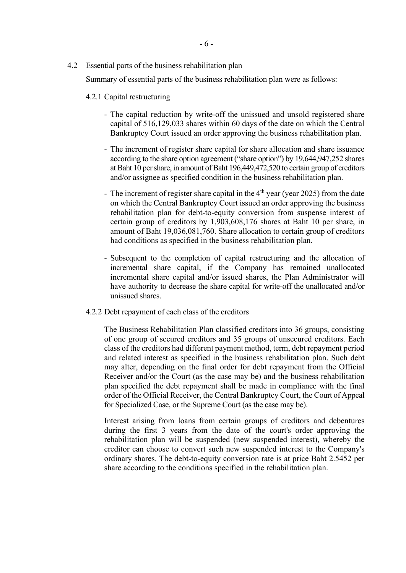4.2 Essential parts of the business rehabilitation plan

Summary of essential parts of the business rehabilitation plan were as follows:

## 4.2.1 Capital restructuring

- The capital reduction by write-off the unissued and unsold registered share capital of 516,129,033 shares within 60 days of the date on which the Central Bankruptcy Court issued an order approving the business rehabilitation plan.
- The increment of register share capital for share allocation and share issuance according to the share option agreement ("share option") by 19,644,947,252 shares at Baht 10 per share, in amount of Baht 196,449,472,520 to certain group of creditors and/or assignee as specified condition in the business rehabilitation plan.
- The increment of register share capital in the  $4<sup>th</sup>$  year (year 2025) from the date on which the Central Bankruptcy Court issued an order approving the business rehabilitation plan for debt-to-equity conversion from suspense interest of certain group of creditors by 1,903,608,176 shares at Baht 10 per share, in amount of Baht 19,036,081,760. Share allocation to certain group of creditors had conditions as specified in the business rehabilitation plan.
- Subsequent to the completion of capital restructuring and the allocation of incremental share capital, if the Company has remained unallocated incremental share capital and/or issued shares, the Plan Administrator will have authority to decrease the share capital for write-off the unallocated and/or unissued shares.
- 4.2.2 Debt repayment of each class of the creditors

The Business Rehabilitation Plan classified creditors into 36 groups, consisting of one group of secured creditors and 35 groups of unsecured creditors. Each class of the creditors had different payment method, term, debt repayment period and related interest as specified in the business rehabilitation plan. Such debt may alter, depending on the final order for debt repayment from the Official Receiver and/or the Court (as the case may be) and the business rehabilitation plan specified the debt repayment shall be made in compliance with the final order of the Official Receiver, the Central Bankruptcy Court, the Court of Appeal for Specialized Case, or the Supreme Court (as the case may be).

Interest arising from loans from certain groups of creditors and debentures during the first 3 years from the date of the court's order approving the rehabilitation plan will be suspended (new suspended interest), whereby the creditor can choose to convert such new suspended interest to the Company's ordinary shares. The debt-to-equity conversion rate is at price Baht 2.5452 per share according to the conditions specified in the rehabilitation plan.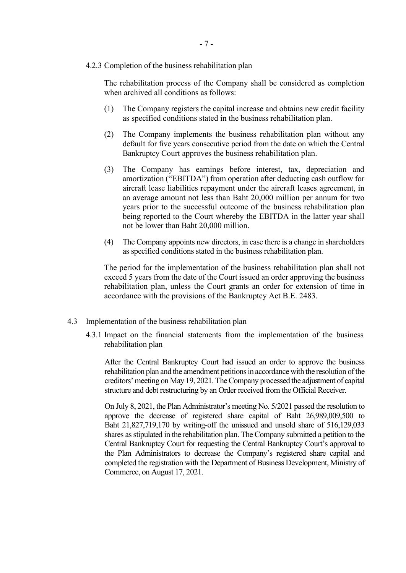## 4.2.3 Completion of the business rehabilitation plan

The rehabilitation process of the Company shall be considered as completion when archived all conditions as follows:

- (1) The Company registers the capital increase and obtains new credit facility as specified conditions stated in the business rehabilitation plan.
- (2) The Company implements the business rehabilitation plan without any default for five years consecutive period from the date on which the Central Bankruptcy Court approves the business rehabilitation plan.
- (3) The Company has earnings before interest, tax, depreciation and amortization ("EBITDA") from operation after deducting cash outflow for aircraft lease liabilities repayment under the aircraft leases agreement, in an average amount not less than Baht 20,000 million per annum for two years prior to the successful outcome of the business rehabilitation plan being reported to the Court whereby the EBITDA in the latter year shall not be lower than Baht 20,000 million.
- (4) The Company appoints new directors, in case there is a change in shareholders as specified conditions stated in the business rehabilitation plan.

The period for the implementation of the business rehabilitation plan shall not exceed 5 years from the date of the Court issued an order approving the business rehabilitation plan, unless the Court grants an order for extension of time in accordance with the provisions of the Bankruptcy Act B.E. 2483.

### 4.3 Implementation of the business rehabilitation plan

4.3.1 Impact on the financial statements from the implementation of the business rehabilitation plan

After the Central Bankruptcy Court had issued an order to approve the business rehabilitation plan and the amendment petitions in accordance with the resolution of the creditors' meeting on May 19, 2021. The Company processed the adjustment of capital structure and debt restructuring by an Order received from the Official Receiver.

On July 8, 2021, the Plan Administrator's meeting No. 5/2021 passed the resolution to approve the decrease of registered share capital of Baht 26,989,009,500 to Baht 21,827,719,170 by writing-off the unissued and unsold share of 516,129,033 shares as stipulated in the rehabilitation plan. The Company submitted a petition to the Central Bankruptcy Court for requesting the Central Bankruptcy Court's approval to the Plan Administrators to decrease the Company's registered share capital and completed the registration with the Department of Business Development, Ministry of Commerce, on August 17, 2021.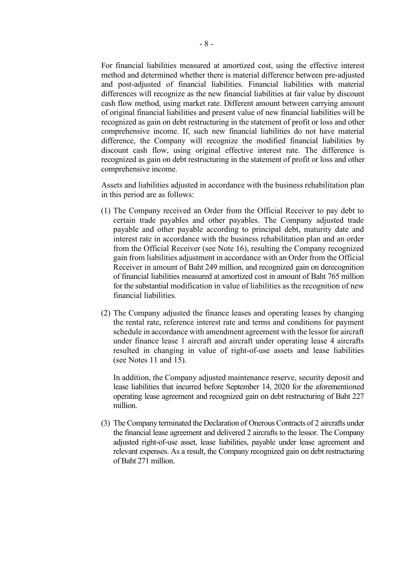For financial liabilities measured at amortized cost, using the effective interest method and determined whether there is material difference between pre-adjusted and post-adjusted of financial liabilities. Financial liabilities with material differences will recognize as the new financial liabilities at fair value by discount cash flow method, using market rate. Different amount between carrying amount of original financial liabilities and present value of new financial liabilities will be recognized as gain on debt restructuring in the statement of profit or loss and other comprehensive income. If, such new financial liabilities do not have material difference, the Company will recognize the modified financial liabilities by discount cash flow, using original effective interest rate. The difference is recognized as gain on debt restructuring in the statement of profit or loss and other comprehensive income.

Assets and liabilities adjusted in accordance with the business rehabilitation plan in this period are as follows:

- (1) The Company received an Order from the Official Receiver to pay debt to certain trade payables and other payables. The Company adjusted trade payable and other payable according to principal debt, maturity date and interest rate in accordance with the business rehabilitation plan and an order from the Official Receiver (see Note 16), resulting the Company recognized gain from liabilities adjustment in accordance with an Order from the Official Receiver in amount of Baht 249 million, and recognized gain on derecognition of financial liabilities measured at amortized cost in amount of Baht 765 million for the substantial modification in value of liabilities as the recognition of new financial liabilities.
- (2) The Company adjusted the finance leases and operating leases by changing the rental rate, reference interest rate and terms and conditions for payment schedule in accordance with amendment agreement with the lessor for aircraft under finance lease 1 aircraft and aircraft under operating lease 4 aircrafts resulted in changing in value of right-of-use assets and lease liabilities (see Notes 11 and 15).

In addition, the Company adjusted maintenance reserve, security deposit and lease liabilities that incurred before September 14, 2020 for the aforementioned operating lease agreement and recognized gain on debt restructuring of Baht 227 million.

(3) The Company terminated the Declaration of Onerous Contracts of 2 aircrafts under the financial lease agreement and delivered 2 aircrafts to the lessor. The Company adjusted right-of-use asset, lease liabilities, payable under lease agreement and relevant expenses. As a result, the Company recognized gain on debt restructuring of Baht 271 million.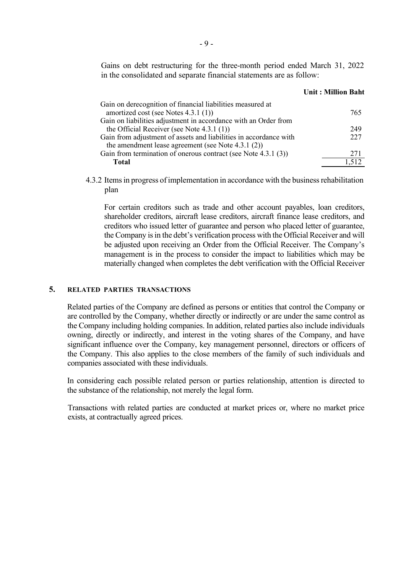Gains on debt restructuring for the three-month period ended March 31, 2022 in the consolidated and separate financial statements are as follow:

#### **Unit : Million Baht**

| Gain on derecognition of financial liabilities measured at        |     |
|-------------------------------------------------------------------|-----|
| amortized cost (see Notes 4.3.1 (1))                              | 765 |
| Gain on liabilities adjustment in accordance with an Order from   |     |
| the Official Receiver (see Note $4.3.1(1)$ )                      | 249 |
| Gain from adjustment of assets and liabilities in accordance with | 227 |
| the amendment lease agreement (see Note $4.3.1$ $(2)$ )           |     |
| Gain from termination of onerous contract (see Note 4.3.1 (3))    | 271 |
| <b>Total</b>                                                      |     |

4.3.2 Items in progress of implementation in accordance with the business rehabilitation plan

For certain creditors such as trade and other account payables, loan creditors, shareholder creditors, aircraft lease creditors, aircraft finance lease creditors, and creditors who issued letter of guarantee and person who placed letter of guarantee, the Company is in the debt's verification process with the Official Receiver and will be adjusted upon receiving an Order from the Official Receiver. The Company's management is in the process to consider the impact to liabilities which may be materially changed when completes the debt verification with the Official Receiver

#### **5. RELATED PARTIES TRANSACTIONS**

Related parties of the Company are defined as persons or entities that control the Company or are controlled by the Company, whether directly or indirectly or are under the same control as the Company including holding companies. In addition, related parties also include individuals owning, directly or indirectly, and interest in the voting shares of the Company, and have significant influence over the Company, key management personnel, directors or officers of the Company. This also applies to the close members of the family of such individuals and companies associated with these individuals.

In considering each possible related person or parties relationship, attention is directed to the substance of the relationship, not merely the legal form.

Transactions with related parties are conducted at market prices or, where no market price exists, at contractually agreed prices.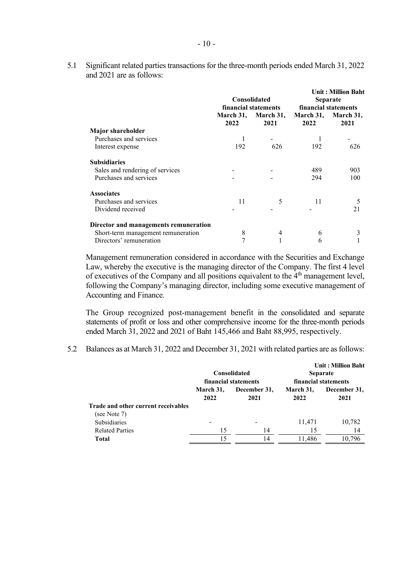5.1 Significant related parties transactions for the three-month periods ended March 31, 2022 and 2021 are as follows:

|                                       |                   | <b>Consolidated</b><br>financial statements | <b>Unit: Million Baht</b><br><b>Separate</b><br>financial statements |                   |
|---------------------------------------|-------------------|---------------------------------------------|----------------------------------------------------------------------|-------------------|
|                                       | March 31,<br>2022 | March 31,<br>2021                           | March 31,<br>2022                                                    | March 31,<br>2021 |
| <b>Major shareholder</b>              |                   |                                             |                                                                      |                   |
| Purchases and services                |                   |                                             |                                                                      |                   |
| Interest expense                      | 192               | 626                                         | 192                                                                  | 626               |
| <b>Subsidiaries</b>                   |                   |                                             |                                                                      |                   |
| Sales and rendering of services       |                   |                                             | 489                                                                  | 903               |
| Purchases and services                |                   |                                             | 294                                                                  | 100               |
| <b>Associates</b>                     |                   |                                             |                                                                      |                   |
| Purchases and services                | 11                | 5                                           | 11                                                                   |                   |
| Dividend received                     |                   |                                             |                                                                      | 21                |
| Director and managements remuneration |                   |                                             |                                                                      |                   |
| Short-term management remuneration    | 8                 | 4                                           | 6                                                                    |                   |
| Directors' remuneration               | 7                 |                                             | 6                                                                    |                   |

Management remuneration considered in accordance with the Securities and Exchange Law, whereby the executive is the managing director of the Company. The first 4 level of executives of the Company and all positions equivalent to the 4<sup>th</sup> management level, following the Company's managing director, including some executive management of Accounting and Finance.

The Group recognized post-management benefit in the consolidated and separate statements of profit or loss and other comprehensive income for the three-month periods ended March 31, 2022 and 2021 of Baht 145,466 and Baht 88,995, respectively.

5.2 Balances as at March 31, 2022 and December 31, 2021 with related parties are as follows:

|                                                     |                   | <b>Consolidated</b><br>financial statements | <b>Unit: Million Baht</b><br><b>Separate</b><br>financial statements |                      |  |
|-----------------------------------------------------|-------------------|---------------------------------------------|----------------------------------------------------------------------|----------------------|--|
|                                                     | March 31,<br>2022 | December 31,<br>2021                        | March 31,<br>2022                                                    | December 31,<br>2021 |  |
| Trade and other current receivables<br>(see Note 7) |                   |                                             |                                                                      |                      |  |
| <b>Subsidiaries</b>                                 |                   |                                             | 11,471                                                               | 10,782               |  |
| <b>Related Parties</b>                              | 15                | 14                                          | 15                                                                   | 14                   |  |
| <b>Total</b>                                        | 15                | 14                                          | 11.486                                                               | 10.796               |  |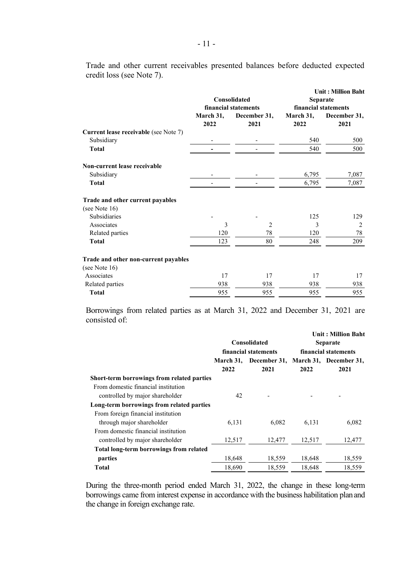|                                                     |           | Consolidated                         | <b>Unit: Million Baht</b><br><b>Separate</b> |              |  |
|-----------------------------------------------------|-----------|--------------------------------------|----------------------------------------------|--------------|--|
|                                                     | March 31, | financial statements<br>December 31, | financial statements<br>March 31,            | December 31, |  |
|                                                     | 2022      | 2021                                 | 2022                                         | 2021         |  |
| Current lease receivable (see Note 7)<br>Subsidiary |           |                                      | 540                                          |              |  |
|                                                     |           |                                      |                                              | 500          |  |
| <b>Total</b>                                        |           |                                      | 540                                          | 500          |  |
| Non-current lease receivable                        |           |                                      |                                              |              |  |
| Subsidiary                                          |           |                                      | 6,795                                        | 7,087        |  |
| <b>Total</b>                                        |           |                                      | 6,795                                        | 7,087        |  |
| Trade and other current payables                    |           |                                      |                                              |              |  |
| (see Note $16$ )                                    |           |                                      |                                              |              |  |
| Subsidiaries                                        |           |                                      | 125                                          | 129          |  |
| Associates                                          | 3         | $\overline{c}$                       | 3                                            | 2            |  |
| Related parties                                     | 120       | 78                                   | 120                                          | 78           |  |
| <b>Total</b>                                        | 123       | 80                                   | 248                                          | 209          |  |
| Trade and other non-current payables                |           |                                      |                                              |              |  |
| (see Note 16)                                       |           |                                      |                                              |              |  |
| Associates                                          | 17        | 17                                   | 17                                           | 17           |  |
| Related parties                                     | 938       | 938                                  | 938                                          | 938          |  |
| <b>Total</b>                                        | 955       | 955                                  | 955                                          | 955          |  |
|                                                     |           |                                      |                                              |              |  |

Trade and other current receivables presented balances before deducted expected credit loss (see Note 7).

Borrowings from related parties as at March 31, 2022 and December 31, 2021 are consisted of:

|                                            |                  | Consolidated<br>financial statements | <b>Unit: Million Baht</b><br><b>Separate</b><br>financial statements |                        |  |
|--------------------------------------------|------------------|--------------------------------------|----------------------------------------------------------------------|------------------------|--|
|                                            | <b>March 31,</b> | December 31,                         |                                                                      | March 31, December 31, |  |
|                                            | 2022             | 2021                                 | 2022                                                                 | 2021                   |  |
| Short-term borrowings from related parties |                  |                                      |                                                                      |                        |  |
| From domestic financial institution        |                  |                                      |                                                                      |                        |  |
| controlled by major shareholder            | 42               |                                      |                                                                      |                        |  |
| Long-term borrowings from related parties  |                  |                                      |                                                                      |                        |  |
| From foreign financial institution         |                  |                                      |                                                                      |                        |  |
| through major shareholder                  | 6,131            | 6,082                                | 6,131                                                                | 6,082                  |  |
| From domestic financial institution        |                  |                                      |                                                                      |                        |  |
| controlled by major shareholder            | 12,517           | 12,477                               | 12,517                                                               | 12,477                 |  |
| Total long-term borrowings from related    |                  |                                      |                                                                      |                        |  |
| parties                                    | 18,648           | 18,559                               | 18,648                                                               | 18,559                 |  |
| Total                                      | 18,690           | 18,559                               | 18,648                                                               | 18,559                 |  |

During the three-month period ended March 31, 2022, the change in these long-term borrowings came from interest expense in accordance with the business habilitation planand the change in foreign exchange rate.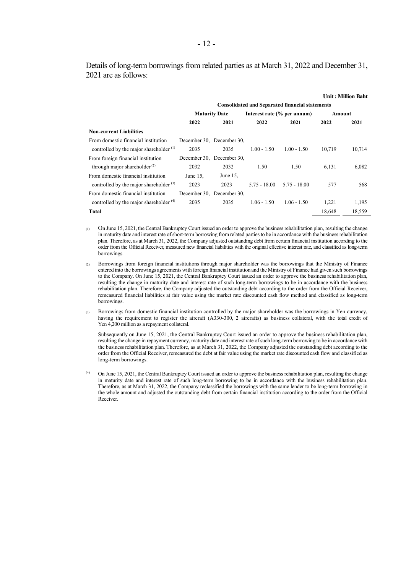Details of long-term borrowings from related parties as at March 31, 2022 and December 31, 2021 are as follows:

|                                           |                                                        |                           |                |                             |        | <b>Unit: Million Baht</b> |  |
|-------------------------------------------|--------------------------------------------------------|---------------------------|----------------|-----------------------------|--------|---------------------------|--|
|                                           | <b>Consolidated and Separated financial statements</b> |                           |                |                             |        |                           |  |
|                                           | <b>Maturity Date</b>                                   |                           |                | Interest rate (% per annum) | Amount |                           |  |
|                                           | 2022                                                   | 2021                      | 2022           | 2021                        | 2022   | 2021                      |  |
| <b>Non-current Liabilities</b>            |                                                        |                           |                |                             |        |                           |  |
| From domestic financial institution       |                                                        | December 30, December 30, |                |                             |        |                           |  |
| controlled by the major shareholder $(1)$ | 2035                                                   | 2035                      | $1.00 - 1.50$  | $1.00 - 1.50$               | 10.719 | 10,714                    |  |
| From foreign financial institution        |                                                        | December 30, December 30, |                |                             |        |                           |  |
| through major shareholder $^{(2)}$        | 2032                                                   | 2032                      | 1.50           | 1.50                        | 6,131  | 6,082                     |  |
| From domestic financial institution       | June $15$ ,                                            | June 15,                  |                |                             |        |                           |  |
| controlled by the major shareholder $(3)$ | 2023                                                   | 2023                      | $5.75 - 18.00$ | $5.75 - 18.00$              | 577    | 568                       |  |
| From domestic financial institution       |                                                        | December 30, December 30, |                |                             |        |                           |  |
| controlled by the major shareholder $(4)$ | 2035                                                   | 2035                      | $1.06 - 1.50$  | $1.06 - 1.50$               | 1,221  | 1,195                     |  |
| Total                                     |                                                        |                           |                |                             | 18,648 | 18,559                    |  |

(1) On June 15, 2021, the Central Bankruptcy Court issued an order to approve the business rehabilitation plan, resulting the change in maturity date and interest rate of short-term borrowing from related parties to be in accordance with the business rehabilitation plan. Therefore, as at March 31, 2022, the Company adjusted outstanding debt from certain financial institution according to the order from the Official Receiver, measured new financial liabilities with the original effective interest rate, and classified as long-term borrowings.

- (2) Borrowings from foreign financial institutions through major shareholder was the borrowings that the Ministry of Finance entered into the borrowings agreements with foreign financial institution and the Ministry of Finance had given such borrowings to the Company. On June 15, 2021, the Central Bankruptcy Court issued an order to approve the business rehabilitation plan, resulting the change in maturity date and interest rate of such long-term borrowings to be in accordance with the business rehabilitation plan. Therefore, the Company adjusted the outstanding debt according to the order from the Official Receiver, remeasured financial liabilities at fair value using the market rate discounted cash flow method and classified as long-term borrowings.
- (3) Borrowings from domestic financial institution controlled by the major shareholder was the borrowings in Yen currency, having the requirement to register the aircraft (A330-300, 2 aircrafts) as business collateral, with the total credit of Yen 4,200 million as a repayment collateral.

Subsequently on June 15, 2021, the Central Bankruptcy Court issued an order to approve the business rehabilitation plan, resulting the change in repayment currency, maturity date and interest rate of such long-term borrowing to be in accordance with the business rehabilitation plan. Therefore, as at March 31, 2022, the Company adjusted the outstanding debt according to the order from the Official Receiver, remeasured the debt at fair value using the market rate discounted cash flow and classified as long-term borrowings.

On June 15, 2021, the Central Bankruptcy Court issued an order to approve the business rehabilitation plan, resulting the change in maturity date and interest rate of such long-term borrowing to be in accordance with the business rehabilitation plan. Therefore, as at March 31, 2022, the Company reclassified the borrowings with the same lender to be long-term borrowing in the whole amount and adjusted the outstanding debt from certain financial institution according to the order from the Official Receiver.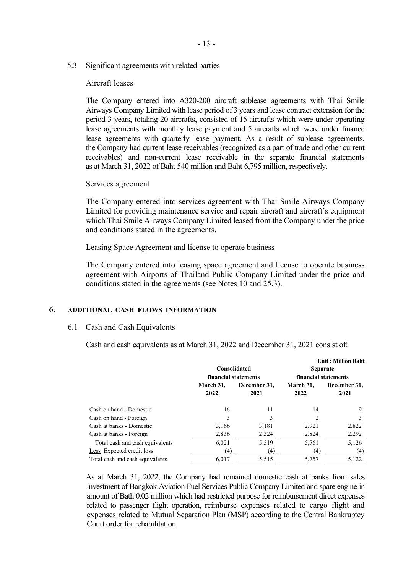5.3 Significant agreements with related parties

## Aircraft leases

The Company entered into A320-200 aircraft sublease agreements with Thai Smile Airways Company Limited with lease period of 3 years and lease contract extension for the period 3 years, totaling 20 aircrafts, consisted of 15 aircrafts which were under operating lease agreements with monthly lease payment and 5 aircrafts which were under finance lease agreements with quarterly lease payment. As a result of sublease agreements, the Company had current lease receivables (recognized as a part of trade and other current receivables) and non-current lease receivable in the separate financial statements as at March 31, 2022 of Baht 540 million and Baht 6,795 million, respectively.

### Services agreement

The Company entered into services agreement with Thai Smile Airways Company Limited for providing maintenance service and repair aircraft and aircraft's equipment which Thai Smile Airways Company Limited leased from the Company under the price and conditions stated in the agreements.

Leasing Space Agreement and license to operate business

The Company entered into leasing space agreement and license to operate business agreement with Airports of Thailand Public Company Limited under the price and conditions stated in the agreements (see Notes 10 and 25.3).

## **6. ADDITIONAL CASH FLOWS INFORMATION**

### 6.1 Cash and Cash Equivalents

Cash and cash equivalents as at March 31, 2022 and December 31, 2021 consist of:

|                                 |                      |              |                      | <b>Unit: Million Baht</b> |  |  |
|---------------------------------|----------------------|--------------|----------------------|---------------------------|--|--|
|                                 | Consolidated         |              | <b>Separate</b>      |                           |  |  |
|                                 | financial statements |              | financial statements |                           |  |  |
|                                 | March 31,            | December 31, | March 31,            | December 31,              |  |  |
|                                 | 2022                 | 2021         | 2022                 | 2021                      |  |  |
| Cash on hand - Domestic         | 16                   | 11           | 14                   | 9                         |  |  |
| Cash on hand - Foreign          |                      | 3            | $\overline{2}$       |                           |  |  |
| Cash at banks - Domestic        | 3,166                | 3,181        | 2,921                | 2,822                     |  |  |
| Cash at banks - Foreign         | 2,836                | 2,324        | 2,824                | 2,292                     |  |  |
| Total cash and cash equivalents | 6,021                | 5,519        | 5,761                | 5,126                     |  |  |
| Less Expected credit loss       | (4)                  | (4)          | (4)                  | (4)                       |  |  |
| Total cash and cash equivalents | 6.017                | 5,515        | 5,757                | 5.122                     |  |  |

As at March 31, 2022, the Company had remained domestic cash at banks from sales investment of Bangkok Aviation Fuel Services Public Company Limited and spare engine in amount of Bath 0.02 million which had restricted purpose for reimbursement direct expenses related to passenger flight operation, reimburse expenses related to cargo flight and expenses related to Mutual Separation Plan (MSP) according to the Central Bankruptcy Court order for rehabilitation.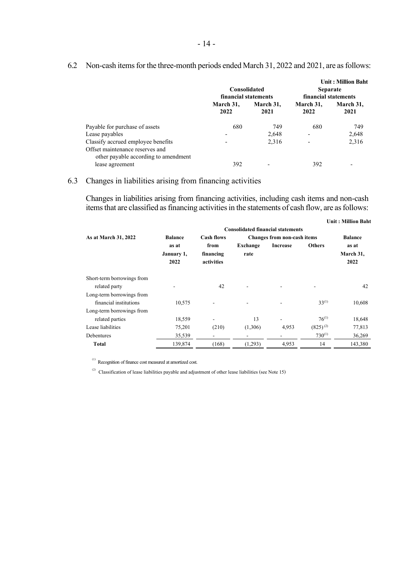|                                      |                          |                   |                                         | <b>Unit: Million Baht</b> |  |
|--------------------------------------|--------------------------|-------------------|-----------------------------------------|---------------------------|--|
|                                      | Consolidated             |                   | <b>Separate</b><br>financial statements |                           |  |
|                                      | financial statements     |                   |                                         |                           |  |
|                                      | March 31,<br>2022        | March 31.<br>2021 | March 31,<br>2022                       | March 31,<br>2021         |  |
| Payable for purchase of assets       | 680                      | 749               | 680                                     | 749                       |  |
| Lease payables                       | $\overline{\phantom{a}}$ | 2,648             | -                                       | 2,648                     |  |
| Classify accrued employee benefits   | $\overline{\phantom{a}}$ | 2,316             | -                                       | 2,316                     |  |
| Offset maintenance reserves and      |                          |                   |                                         |                           |  |
| other payable according to amendment |                          |                   |                                         |                           |  |
| lease agreement                      | 392                      |                   | 392                                     |                           |  |

## 6.2 Non-cash items for the three-month periods ended March 31, 2022 and 2021, are as follows:

## 6.3 Changes in liabilities arising from financing activities

Changes in liabilities arising from financing activities, including cash items and non-cash itemsthat are classified as financing activities in the statements of cash flow, are as follows:

|                            |                             |                                 |                  |                                          |               | <b>Unit: Million Baht</b>  |
|----------------------------|-----------------------------|---------------------------------|------------------|------------------------------------------|---------------|----------------------------|
|                            |                             |                                 |                  | <b>Consolidated financial statements</b> |               |                            |
| As at March 31, 2022       | <b>Balance</b>              | <b>Cash flows</b>               |                  | <b>Changes from non-cash items</b>       |               | <b>Balance</b>             |
|                            | as at<br>January 1,<br>2022 | from<br>financing<br>activities | Exchange<br>rate | <b>Increase</b>                          | <b>Others</b> | as at<br>March 31,<br>2022 |
| Short-term borrowings from |                             |                                 |                  |                                          |               |                            |
| related party              |                             | 42                              |                  |                                          |               | 42                         |
| Long-term borrowings from  |                             |                                 |                  |                                          |               |                            |
| financial institutions     | 10,575                      |                                 |                  |                                          | $33^{(1)}$    | 10,608                     |
| Long-term borrowings from  |                             |                                 |                  |                                          |               |                            |
| related parties            | 18,559                      |                                 | 13               |                                          | $76^{(1)}$    | 18,648                     |
| Lease liabilities          | 75,201                      | (210)                           | (1,306)          | 4,953                                    | $(825)^{(2)}$ | 77,813                     |
| <b>Debentures</b>          | 35,539                      | ۰                               |                  |                                          | $730^{(1)}$   | 36,269                     |
| Total                      | 139,874                     | (168)                           | (1,293)          | 4,953                                    | 14            | 143,380                    |

(1) Recognition of finance cost measured at amortized cost.<br>
(2) Classification of lease liabilities payable and adjustment of other lease liabilities (see Note 15)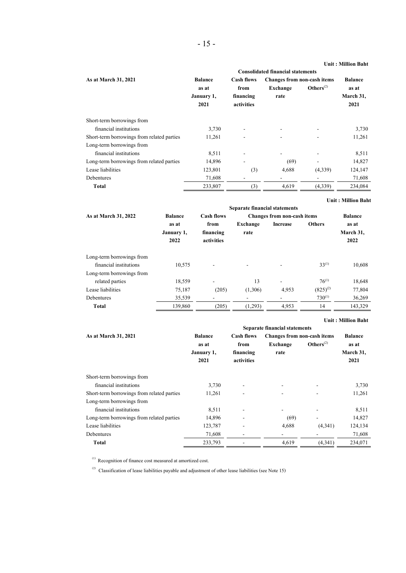| As at March 31, 2021                       | <b>Balance</b> | <b>Cash flows</b> | <b>Changes from non-cash items</b> |                | <b>Balance</b> |
|--------------------------------------------|----------------|-------------------|------------------------------------|----------------|----------------|
|                                            | as at          | from              | Exchange                           | $Others^{(2)}$ | as at          |
|                                            | January 1,     | financing         | rate                               |                | March 31,      |
|                                            | 2021           | activities        |                                    |                | 2021           |
| Short-term borrowings from                 |                |                   |                                    |                |                |
| financial institutions                     | 3,730          |                   |                                    |                | 3,730          |
| Short-term borrowings from related parties | 11,261         |                   |                                    |                | 11,261         |
| Long-term borrowings from                  |                |                   |                                    |                |                |
| financial institutions                     | 8,511          |                   |                                    |                | 8,511          |
| Long-term borrowings from related parties  | 14,896         |                   | (69)                               |                | 14,827         |
| Lease liabilities                          | 123,801        | (3)               | 4,688                              | (4,339)        | 124,147        |
| <b>Debentures</b>                          | 71,608         |                   |                                    |                | 71,608         |
| <b>Total</b>                               | 233,807        | (3)               | 4,619                              | (4,339)        | 234,084        |

|                           |                    |                          |          |                                    |               | <b>Unit: Million Baht</b> |
|---------------------------|--------------------|--------------------------|----------|------------------------------------|---------------|---------------------------|
|                           |                    |                          |          |                                    |               |                           |
| As at March 31, 2022      | <b>Balance</b>     | <b>Cash flows</b>        |          | <b>Changes from non-cash items</b> |               | <b>Balance</b>            |
|                           | as at              | from                     | Exchange | <b>Increase</b>                    | <b>Others</b> | as at                     |
|                           | January 1,<br>2022 | financing<br>activities  | rate     |                                    |               | March 31,<br>2022         |
| Long-term borrowings from |                    |                          |          |                                    |               |                           |
| financial institutions    | 10.575             |                          |          |                                    | $33^{(1)}$    | 10,608                    |
| Long-term borrowings from |                    |                          |          |                                    |               |                           |
| related parties           | 18,559             | ۰                        | 13       | ۰                                  | $76^{(1)}$    | 18,648                    |
| Lease liabilities         | 75,187             | (205)                    | (1,306)  | 4,953                              | $(825)^{(2)}$ | 77,804                    |
| <b>Debentures</b>         | 35,539             | $\overline{\phantom{a}}$ | ۰        |                                    | $730^{(1)}$   | 36,269                    |
| Total                     | 139,860            | (205)                    | (1,293)  | 4,953                              | 14            | 143,329                   |

|                                            |                                      |                          |                             |                | Спи , гиппон ранс |  |  |
|--------------------------------------------|--------------------------------------|--------------------------|-----------------------------|----------------|-------------------|--|--|
|                                            | <b>Separate financial statements</b> |                          |                             |                |                   |  |  |
| As at March 31, 2021                       | <b>Balance</b>                       | <b>Cash flows</b>        | Changes from non-cash items |                | <b>Balance</b>    |  |  |
|                                            | as at                                | from                     | Exchange                    | $Others^{(2)}$ | as at             |  |  |
|                                            | January 1,                           | financing                | rate                        |                | March 31,         |  |  |
|                                            | 2021                                 | activities               |                             |                | 2021              |  |  |
| Short-term borrowings from                 |                                      |                          |                             |                |                   |  |  |
| financial institutions                     | 3.730                                | $\overline{\phantom{a}}$ | ۰                           |                | 3,730             |  |  |
| Short-term borrowings from related parties | 11,261                               |                          |                             |                | 11,261            |  |  |
| Long-term borrowings from                  |                                      |                          |                             |                |                   |  |  |
| financial institutions                     | 8,511                                |                          |                             |                | 8,511             |  |  |
| Long-term borrowings from related parties  | 14,896                               |                          | (69)                        |                | 14,827            |  |  |
| Lease liabilities                          | 123,787                              |                          | 4,688                       | (4,341)        | 124,134           |  |  |
| <b>Debentures</b>                          | 71,608                               |                          |                             |                | 71,608            |  |  |
| Total                                      | 233,793                              |                          | 4.619                       | (4, 341)       | 234,071           |  |  |

(1) Recognition of finance cost measured at amortized cost.

(2) Classification of lease liabilities payable and adjustment of other lease liabilities (see Note 15)

**Unit : Million Baht**

**Unit : Million Baht**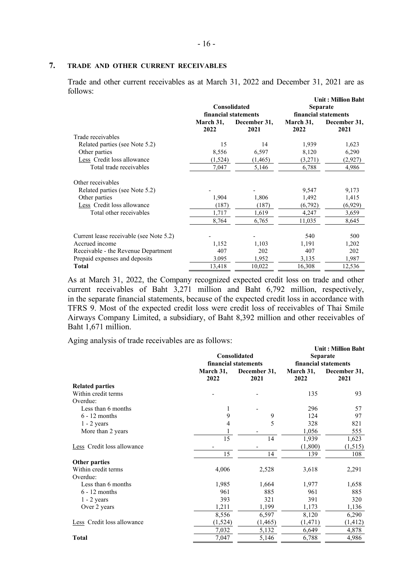## **7. TRADE AND OTHER CURRENT RECEIVABLES**

Trade and other current receivables as at March 31, 2022 and December 31, 2021 are as follows:

|                                         |                   | Consolidated<br>financial statements | <b>Unit: Million Baht</b><br><b>Separate</b><br>financial statements |                      |  |
|-----------------------------------------|-------------------|--------------------------------------|----------------------------------------------------------------------|----------------------|--|
|                                         | March 31,<br>2022 | December 31,<br>2021                 | March 31,<br>2022                                                    | December 31,<br>2021 |  |
| Trade receivables                       |                   |                                      |                                                                      |                      |  |
| Related parties (see Note 5.2)          | 15                | 14                                   | 1,939                                                                | 1,623                |  |
| Other parties                           | 8,556             | 6,597                                | 8,120                                                                | 6,290                |  |
| Less Credit loss allowance              | (1,524)           | (1, 465)                             | (3,271)                                                              | (2,927)              |  |
| Total trade receivables                 | 7,047             | 5,146                                | 6,788                                                                | 4,986                |  |
| Other receivables                       |                   |                                      |                                                                      |                      |  |
| Related parties (see Note 5.2)          |                   |                                      | 9,547                                                                | 9,173                |  |
| Other parties                           | 1,904             | 1,806                                | 1,492                                                                | 1,415                |  |
| Less Credit loss allowance              | (187)             | (187)                                | (6, 792)                                                             | (6,929)              |  |
| Total other receivables                 | 1,717             | 1,619                                | 4,247                                                                | 3,659                |  |
|                                         | 8,764             | 6,765                                | 11,035                                                               | 8,645                |  |
| Current lease receivable (see Note 5.2) |                   |                                      | 540                                                                  | 500                  |  |
| Accrued income                          | 1,152             | 1,103                                | 1,191                                                                | 1,202                |  |
| Receivable - the Revenue Department     | 407               | 202                                  | 407                                                                  | 202                  |  |
| Prepaid expenses and deposits           | 3.095             | 1,952                                | 3,135                                                                | 1,987                |  |
| <b>Total</b>                            | 13,418            | 10,022                               | 16,308                                                               | 12,536               |  |

As at March 31, 2022, the Company recognized expected credit loss on trade and other current receivables of Baht 3,271 million and Baht 6,792 million, respectively, in the separate financial statements, because of the expected credit loss in accordance with TFRS 9. Most of the expected credit loss were credit loss of receivables of Thai Smile Airways Company Limited, a subsidiary, of Baht 8,392 million and other receivables of Baht 1,671 million.

Aging analysis of trade receivables are as follows:

|                            |                   | Consolidated<br>financial statements | <b>Unit: Million Baht</b><br><b>Separate</b><br>financial statements |                      |  |
|----------------------------|-------------------|--------------------------------------|----------------------------------------------------------------------|----------------------|--|
|                            | March 31,<br>2022 | December 31,<br>2021                 | March 31,<br>2022                                                    | December 31,<br>2021 |  |
| <b>Related parties</b>     |                   |                                      |                                                                      |                      |  |
| Within credit terms        |                   |                                      | 135                                                                  | 93                   |  |
| Overdue:                   |                   |                                      |                                                                      |                      |  |
| Less than 6 months         | 1                 |                                      | 296                                                                  | 57                   |  |
| $6 - 12$ months            | 9                 | 9                                    | 124                                                                  | 97                   |  |
| $1 - 2$ years              | 4                 | 5                                    | 328                                                                  | 821                  |  |
| More than 2 years          | $\mathbf{1}$      |                                      | 1,056                                                                | 555                  |  |
|                            | 15                | 14                                   | 1,939                                                                | 1,623                |  |
| Less Credit loss allowance |                   |                                      | (1,800)                                                              | (1, 515)             |  |
|                            | 15                | 14                                   | 139                                                                  | 108                  |  |
| Other parties              |                   |                                      |                                                                      |                      |  |
| Within credit terms        | 4,006             | 2,528                                | 3,618                                                                | 2,291                |  |
| Overdue:                   |                   |                                      |                                                                      |                      |  |
| Less than 6 months         | 1,985             | 1,664                                | 1,977                                                                | 1,658                |  |
| $6 - 12$ months            | 961               | 885                                  | 961                                                                  | 885                  |  |
| $1 - 2$ years              | 393               | 321                                  | 391                                                                  | 320                  |  |
| Over 2 years               | 1,211             | 1,199                                | 1,173                                                                | 1,136                |  |
|                            | 8,556             | 6,597                                | 8,120                                                                | 6,290                |  |
| Less Credit loss allowance | (1, 524)          | (1, 465)                             | (1, 471)                                                             | (1, 412)             |  |
|                            | 7,032             | 5,132                                | 6,649                                                                | 4,878                |  |
| <b>Total</b>               | 7,047             | 5,146                                | 6,788                                                                | 4,986                |  |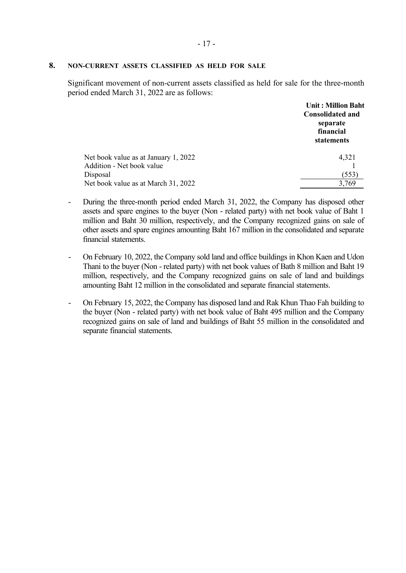# **8. NON-CURRENT ASSETS CLASSIFIED AS HELD FOR SALE**

Significant movement of non-current assets classified as held for sale for the three-month period ended March 31, 2022 are as follows:

|                                      | <b>Unit: Million Baht</b><br><b>Consolidated and</b><br>separate<br>financial<br>statements |
|--------------------------------------|---------------------------------------------------------------------------------------------|
| Net book value as at January 1, 2022 | 4,321                                                                                       |
| Addition - Net book value            |                                                                                             |
| Disposal                             | (553)                                                                                       |
| Net book value as at March 31, 2022  | 3,769                                                                                       |

- During the three-month period ended March 31, 2022, the Company has disposed other assets and spare engines to the buyer (Non - related party) with net book value of Baht 1 million and Baht 30 million, respectively, and the Company recognized gains on sale of other assets and spare engines amounting Baht 167 million in the consolidated and separate financial statements.
- On February 10, 2022, the Company sold land and office buildings in Khon Kaen and Udon Thani to the buyer (Non - related party) with net book values of Bath 8 million and Baht 19 million, respectively, and the Company recognized gains on sale of land and buildings amounting Baht 12 million in the consolidated and separate financial statements.
- On February 15, 2022, the Company has disposed land and Rak Khun Thao Fah building to the buyer (Non - related party) with net book value of Baht 495 million and the Company recognized gains on sale of land and buildings of Baht 55 million in the consolidated and separate financial statements.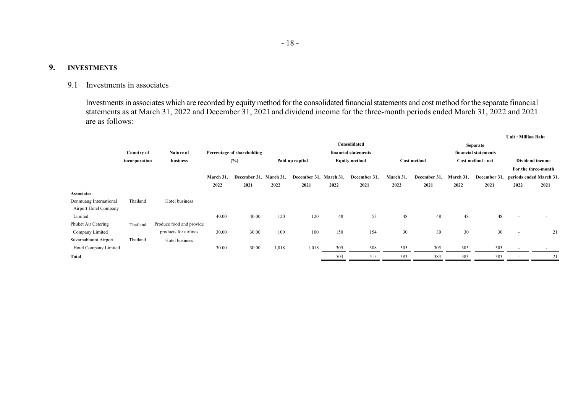## **9. INVESTMENTS**

# 9.1 Investments in associates

Investments in associates which are recorded by equity method for the consolidated financial statements and cost method for the separate financial statements as at March 31, 2022 and December 31, 2021 and dividend income for the three-month periods ended March 31, 2022 and 2021 are as follows:

|                        |               |                          |           |                            |                                         |                        |      |                      |           |                   |                      |                 | Unit: Million Baht       |                         |
|------------------------|---------------|--------------------------|-----------|----------------------------|-----------------------------------------|------------------------|------|----------------------|-----------|-------------------|----------------------|-----------------|--------------------------|-------------------------|
|                        |               |                          |           |                            |                                         |                        |      | Consolidated         |           |                   |                      | <b>Separate</b> |                          |                         |
|                        | Country of    | <b>Nature of</b>         |           | Percentage of shareholding |                                         |                        |      | financial statements |           |                   | financial statements |                 |                          |                         |
|                        | incorporation | business                 |           | (%)                        | <b>Equity method</b><br>Paid up capital |                        |      | <b>Cost method</b>   |           | Cost method - net |                      | Dividend income |                          |                         |
|                        |               |                          |           |                            |                                         |                        |      |                      |           |                   |                      |                 |                          | For the three-month     |
|                        |               |                          | March 31, | December 31, March 31,     |                                         | December 31, March 31, |      | December 31,         | March 31, | December 31,      | March 31,            | December 31,    |                          | periods ended March 31. |
|                        |               |                          | 2022      | 2021                       | 2022                                    | 2021                   | 2022 | 2021                 | 2022      | 2021              | 2022                 | 2021            | 2022                     | 2021                    |
| <b>Associates</b>      |               |                          |           |                            |                                         |                        |      |                      |           |                   |                      |                 |                          |                         |
| Donmuang International | Thailand      | Hotel business           |           |                            |                                         |                        |      |                      |           |                   |                      |                 |                          |                         |
| Airport Hotel Company  |               |                          |           |                            |                                         |                        |      |                      |           |                   |                      |                 |                          |                         |
| Limited                |               |                          | 40.00     | 40.00                      | 120                                     | 120                    | 48   | 53                   | 48        | 48                | 48                   | 48              |                          |                         |
| Phuket Air Catering    | Thailand      | Produce food and provide |           |                            |                                         |                        |      |                      |           |                   |                      |                 |                          |                         |
| Company Limited        |               | products for airlines    | 30.00     | 30.00                      | 100                                     | 100                    | 150  | 154                  | 30        | 30                | 30                   | 30              | $\overline{\phantom{a}}$ | 21                      |
| Suvarnabhumi Airport   | Thailand      | Hotel business           |           |                            |                                         |                        |      |                      |           |                   |                      |                 |                          |                         |
| Hotel Company Limited  |               |                          | 30.00     | 30.00                      | 1,018                                   | 1,018                  | 305  | 308                  | 305       | 305               | 305                  | 305             |                          |                         |
| <b>Total</b>           |               |                          |           |                            |                                         |                        | 503  | 515                  | 383       | 383               | 383                  | 383             |                          | 21                      |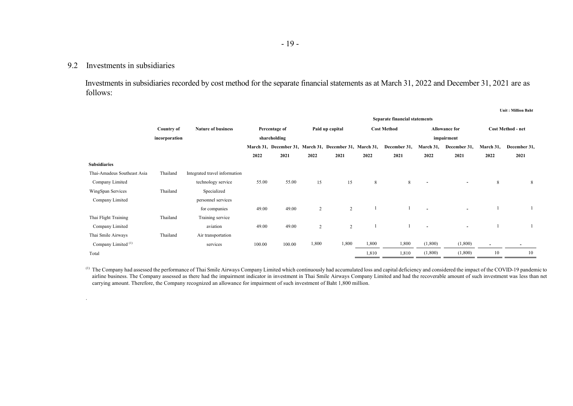## 9.2 Investments in subsidiaries

.

Investments in subsidiaries recorded by cost method for the separate financial statements as at March 31, 2022 and December 31, 2021 are as follows:

**Unit : Million Baht**

|                                | <b>Separate financial statements</b> |                               |        |               |                |                                                         |       |                    |                          |                      |                          |                          |
|--------------------------------|--------------------------------------|-------------------------------|--------|---------------|----------------|---------------------------------------------------------|-------|--------------------|--------------------------|----------------------|--------------------------|--------------------------|
|                                | <b>Country of</b>                    | <b>Nature of business</b>     |        | Percentage of |                | Paid up capital                                         |       | <b>Cost Method</b> |                          | <b>Allowance for</b> |                          | <b>Cost Method - net</b> |
|                                | incorporation                        |                               |        | shareholding  |                |                                                         |       |                    |                          | impairment           |                          |                          |
|                                |                                      |                               |        |               |                | March 31, December 31, March 31, December 31, March 31, |       | December 31,       | March 31,                | December 31,         | March 31,                | December 31,             |
|                                |                                      |                               | 2022   | 2021          | 2022           | 2021                                                    | 2022  | 2021               | 2022                     | 2021                 | 2022                     | 2021                     |
| <b>Subsidiaries</b>            |                                      |                               |        |               |                |                                                         |       |                    |                          |                      |                          |                          |
| Thai-Amadeus Southeast Asia    | Thailand                             | Integrated travel information |        |               |                |                                                         |       |                    |                          |                      |                          |                          |
| Company Limited                |                                      | technology service            | 55.00  | 55.00         | 15             | 15                                                      | 8     | 8                  | $\overline{\phantom{a}}$ | $\blacksquare$       | 8                        | 8                        |
| WingSpan Services              | Thailand                             | Specialized                   |        |               |                |                                                         |       |                    |                          |                      |                          |                          |
| Company Limited                |                                      | personnel services            |        |               |                |                                                         |       |                    |                          |                      |                          |                          |
|                                |                                      | for companies                 | 49.00  | 49.00         | 2              | $\overline{2}$                                          |       |                    |                          | $\sim$               |                          |                          |
| Thai Flight Training           | Thailand                             | Training service              |        |               |                |                                                         |       |                    |                          |                      |                          |                          |
| Company Limited                |                                      | aviation                      | 49.00  | 49.00         | $\overline{2}$ | 2                                                       |       |                    |                          | $\blacksquare$       |                          |                          |
| Thai Smile Airways             | Thailand                             | Air transportation            |        |               |                |                                                         |       |                    |                          |                      |                          |                          |
| Company Limited <sup>(1)</sup> |                                      | services                      | 100.00 | 100.00        | 1,800          | 1,800                                                   | 1,800 | 1,800              | (1,800)                  | (1,800)              | $\overline{\phantom{a}}$ |                          |
| Total                          |                                      |                               |        |               |                |                                                         | 1,810 | 1,810              | (1,800)                  | (1,800)              | 10                       | 10                       |

<sup>(1)</sup> The Company had assessed the performance of Thai Smile Airways Company Limited which continuously had accumulated loss and capital deficiency and considered the impact of the COVID-19 pandemic to airline business. The Company assessed as there had the impairment indicator in investment in Thai Smile Airways Company Limited and had the recoverable amount of such investment was less than net carrying amount. Therefore, the Company recognized an allowance for impairment of such investment of Baht 1,800 million.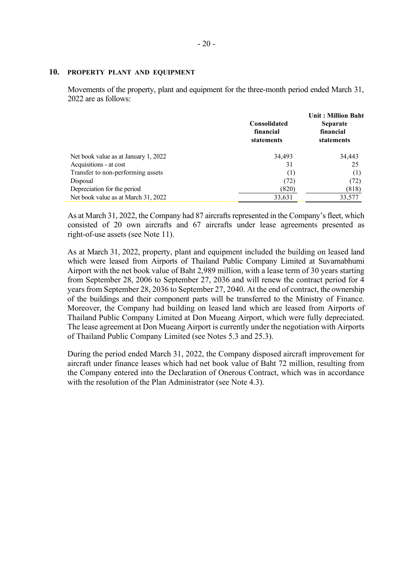#### **10. PROPERTY PLANT AND EQUIPMENT**

Movements of the property, plant and equipment for the three-month period ended March 31, 2022 are as follows:

|                                      | <b>Consolidated</b><br>financial<br>statements | <b>Unit: Million Baht</b><br><b>Separate</b><br>financial<br>statements |  |
|--------------------------------------|------------------------------------------------|-------------------------------------------------------------------------|--|
| Net book value as at January 1, 2022 | 34,493                                         | 34,443                                                                  |  |
| Acquisitions - at cost               | 31                                             | 25                                                                      |  |
| Transfer to non-performing assets    | (1)                                            | (1)                                                                     |  |
| Disposal                             | (72)                                           | (72)                                                                    |  |
| Depreciation for the period          | (820)                                          | (818)                                                                   |  |
| Net book value as at March 31, 2022  | 33,631                                         | 33,577                                                                  |  |

As at March 31, 2022, the Company had 87 aircrafts represented in the Company's fleet, which consisted of 20 own aircrafts and 67 aircrafts under lease agreements presented as right-of-use assets (see Note 11).

As at March 31, 2022, property, plant and equipment included the building on leased land which were leased from Airports of Thailand Public Company Limited at Suvarnabhumi Airport with the net book value of Baht 2,989 million, with a lease term of 30 years starting from September 28, 2006 to September 27, 2036 and will renew the contract period for 4 years from September 28, 2036 to September 27, 2040. At the end of contract, the ownership of the buildings and their component parts will be transferred to the Ministry of Finance. Moreover, the Company had building on leased land which are leased from Airports of Thailand Public Company Limited at Don Mueang Airport, which were fully depreciated. The lease agreement at Don Mueang Airport is currently under the negotiation with Airports of Thailand Public Company Limited (see Notes 5.3 and 25.3).

During the period ended March 31, 2022, the Company disposed aircraft improvement for aircraft under finance leases which had net book value of Baht 72 million, resulting from the Company entered into the Declaration of Onerous Contract, which was in accordance with the resolution of the Plan Administrator (see Note 4.3).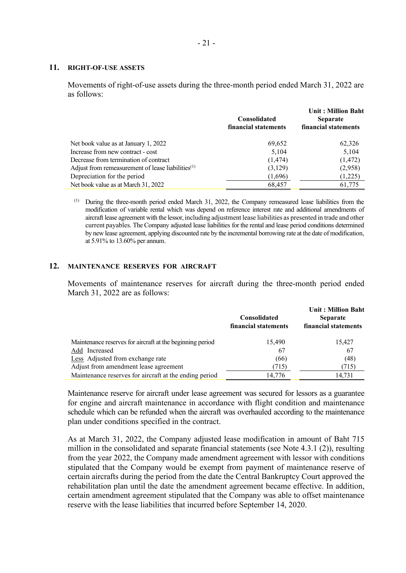#### **11. RIGHT-OF-USE ASSETS**

Movements of right-of-use assets during the three-month period ended March 31, 2022 are as follows:

|                                                               | <b>Consolidated</b><br>financial statements | <b>Unit: Million Baht</b><br><b>Separate</b><br>financial statements |
|---------------------------------------------------------------|---------------------------------------------|----------------------------------------------------------------------|
| Net book value as at January 1, 2022                          | 69,652                                      | 62,326                                                               |
| Increase from new contract - cost                             | 5,104                                       | 5,104                                                                |
| Decrease from termination of contract                         | (1, 474)                                    | (1, 472)                                                             |
| Adjust from remeasurement of lease liabilities <sup>(1)</sup> | (3,129)                                     | (2,958)                                                              |
| Depreciation for the period                                   | (1,696)                                     | (1,225)                                                              |
| Net book value as at March 31, 2022                           | 68,457                                      | 61,775                                                               |

(1) During the three-month period ended March 31, 2022, the Company remeasured lease liabilities from the modification of variable rental which was depend on reference interest rate and additional amendments of aircraft lease agreement with the lessor,including adjustment lease liabilities as presented in trade and other current payables. The Company adjusted lease liabilities for the rental and lease period conditions determined by new lease agreement, applying discounted rate by the incremental borrowing rate at the date of modification, at 5.91% to 13.60% per annum.

#### **12. MAINTENANCE RESERVES FOR AIRCRAFT**

Movements of maintenance reserves for aircraft during the three-month period ended March 31, 2022 are as follows:

|                                                           | <b>Consolidated</b><br>financial statements | <b>Unit: Million Baht</b><br><b>Separate</b><br>financial statements |
|-----------------------------------------------------------|---------------------------------------------|----------------------------------------------------------------------|
| Maintenance reserves for aircraft at the beginning period | 15,490                                      | 15,427                                                               |
| Add Increased                                             | 67                                          | 67                                                                   |
| Less Adjusted from exchange rate                          | (66)                                        | (48)                                                                 |
| Adjust from amendment lease agreement                     | 715)                                        | (715)                                                                |
| Maintenance reserves for aircraft at the ending period    | 14,776                                      | 14,731                                                               |

Maintenance reserve for aircraft under lease agreement was secured for lessors as a guarantee for engine and aircraft maintenance in accordance with flight condition and maintenance schedule which can be refunded when the aircraft was overhauled according to the maintenance plan under conditions specified in the contract.

As at March 31, 2022, the Company adjusted lease modification in amount of Baht 715 million in the consolidated and separate financial statements (see Note 4.3.1 (2)), resulting from the year 2022, the Company made amendment agreement with lessor with conditions stipulated that the Company would be exempt from payment of maintenance reserve of certain aircrafts during the period from the date the Central Bankruptcy Court approved the rehabilitation plan until the date the amendment agreement became effective. In addition, certain amendment agreement stipulated that the Company was able to offset maintenance reserve with the lease liabilities that incurred before September 14, 2020.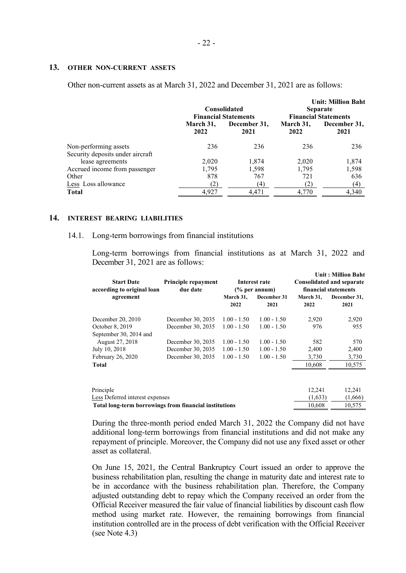#### **13. OTHER NON-CURRENT ASSETS**

Other non-current assets as at March 31, 2022 and December 31, 2021 are as follows:

|                                                           |                   | <b>Consolidated</b><br><b>Financial Statements</b> | <b>Unit: Million Baht</b><br><b>Separate</b><br><b>Financial Statements</b> |                      |  |
|-----------------------------------------------------------|-------------------|----------------------------------------------------|-----------------------------------------------------------------------------|----------------------|--|
|                                                           | March 31,<br>2022 | December 31,<br>2021                               | March 31,<br>2022                                                           | December 31,<br>2021 |  |
| Non-performing assets<br>Security deposits under aircraft | 236               | 236                                                | 236                                                                         | 236                  |  |
| lease agreements                                          | 2,020             | 1.874                                              | 2.020                                                                       | 1,874                |  |
| Accrued income from passenger                             | 1,795             | 1,598                                              | 1,795                                                                       | 1,598                |  |
| Other                                                     | 878               | 767                                                | 721                                                                         | 636                  |  |
| Less Loss allowance                                       | (2)               | (4)                                                | (2)                                                                         | (4)                  |  |
| Total                                                     | 4.927             | 4.471                                              | 4.770                                                                       | 4,340                |  |

#### **14. INTEREST BEARING LIABILITIES**

#### 14.1. Long-term borrowings from financial institutions

Long-term borrowings from financial institutions as at March 31, 2022 and December 31, 2021 are as follows:

| <b>Start Date</b><br>according to original loan        | Principle repayment<br>due date |                   | Interest rate<br>$\frac{6}{6}$ per annum) | <b>Unit: Million Baht</b><br><b>Consolidated and separate</b><br>financial statements |                      |  |
|--------------------------------------------------------|---------------------------------|-------------------|-------------------------------------------|---------------------------------------------------------------------------------------|----------------------|--|
| agreement                                              |                                 | March 31,<br>2022 | December 31<br>2021                       | March 31,<br>2022                                                                     | December 31,<br>2021 |  |
| December 20, 2010                                      | December 30, 2035               | $1.00 - 1.50$     | $1.00 - 1.50$                             | 2,920                                                                                 | 2,920                |  |
| October 8, 2019                                        | December 30, 2035               | $1.00 - 1.50$     | $1.00 - 1.50$                             | 976                                                                                   | 955                  |  |
| September 30, 2014 and                                 |                                 |                   |                                           |                                                                                       |                      |  |
| August 27, 2018                                        | December 30, 2035               | $1.00 - 1.50$     | $1.00 - 1.50$                             | 582                                                                                   | 570                  |  |
| July 10, 2018                                          | December 30, 2035               | $1.00 - 1.50$     | $1.00 - 1.50$                             | 2,400                                                                                 | 2,400                |  |
| February 26, 2020                                      | December 30, 2035               | $1.00 - 1.50$     | $1.00 - 1.50$                             | 3,730                                                                                 | 3,730                |  |
| <b>Total</b>                                           |                                 |                   |                                           | 10,608                                                                                | 10,575               |  |
|                                                        |                                 |                   |                                           |                                                                                       |                      |  |
| Principle                                              |                                 |                   |                                           | 12,241                                                                                | 12,241               |  |
| Less Deferred interest expenses                        |                                 |                   |                                           | (1,633)                                                                               | (1,666)              |  |
| Total long-term borrowings from financial institutions |                                 |                   |                                           | 10,608                                                                                | 10,575               |  |

During the three-month period ended March 31, 2022 the Company did not have additional long-term borrowings from financial institutions and did not make any repayment of principle. Moreover, the Company did not use any fixed asset or other asset as collateral.

On June 15, 2021, the Central Bankruptcy Court issued an order to approve the business rehabilitation plan, resulting the change in maturity date and interest rate to be in accordance with the business rehabilitation plan. Therefore, the Company adjusted outstanding debt to repay which the Company received an order from the Official Receiver measured the fair value of financial liabilities by discount cash flow method using market rate. However, the remaining borrowings from financial institution controlled are in the process of debt verification with the Official Receiver (see Note 4.3)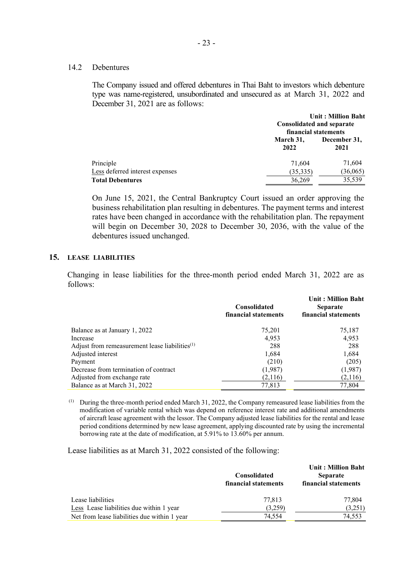#### 14.2 Debentures

The Company issued and offered debentures in Thai Baht to investors which debenture type was name-registered, unsubordinated and unsecured as at March 31, 2022 and December 31, 2021 are as follows:

|                                 | Consolidated and separate<br>financial statements | <b>Unit: Million Baht</b> |
|---------------------------------|---------------------------------------------------|---------------------------|
|                                 | March 31,<br>2022                                 | December 31,<br>2021      |
| Principle                       | 71,604                                            | 71,604                    |
| Less deferred interest expenses | (35, 335)                                         | (36,065)                  |
| <b>Total Debentures</b>         | 36,269                                            | 35,539                    |

On June 15, 2021, the Central Bankruptcy Court issued an order approving the business rehabilitation plan resulting in debentures. The payment terms and interest rates have been changed in accordance with the rehabilitation plan. The repayment will begin on December 30, 2028 to December 30, 2036, with the value of the debentures issued unchanged.

## **15. LEASE LIABILITIES**

Changing in lease liabilities for the three-month period ended March 31, 2022 are as follows:

|                                                   | <b>Consolidated</b><br>financial statements | <b>Unit: Million Baht</b><br><b>Separate</b><br>financial statements |
|---------------------------------------------------|---------------------------------------------|----------------------------------------------------------------------|
| Balance as at January 1, 2022                     | 75,201                                      | 75,187                                                               |
| Increase                                          | 4,953                                       | 4,953                                                                |
| Adjust from remeasurement lease liabilities $(1)$ | 288                                         | 288                                                                  |
| Adjusted interest                                 | 1,684                                       | 1,684                                                                |
| Payment                                           | (210)                                       | (205)                                                                |
| Decrease from termination of contract             | (1,987)                                     | (1,987)                                                              |
| Adjusted from exchange rate                       | (2,116)                                     | (2,116)                                                              |
| Balance as at March 31, 2022                      | 77,813                                      | 77,804                                                               |

 (1) During the three-month period ended March 31, 2022, the Company remeasured lease liabilities from the modification of variable rental which was depend on reference interest rate and additional amendments of aircraft lease agreement with the lessor. The Company adjusted lease liabilities for the rental and lease period conditions determined by new lease agreement, applying discounted rate by using the incremental borrowing rate at the date of modification, at 5.91% to 13.60% per annum.

Lease liabilities as at March 31, 2022 consisted of the following:

|                                              | Consolidated<br>financial statements | <b>Unit: Million Baht</b><br><b>Separate</b><br>financial statements |
|----------------------------------------------|--------------------------------------|----------------------------------------------------------------------|
| Lease liabilities                            | 77,813                               | 77,804                                                               |
| Less Lease liabilities due within 1 year     | (3,259)                              | (3,251)                                                              |
| Net from lease liabilities due within 1 year | 74.554                               | 74,553                                                               |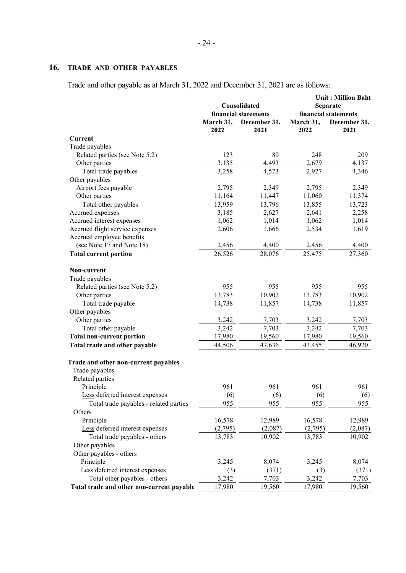# **16. TRADE AND OTHER PAYABLES**

Trade and other payable as at March 31, 2022 and December 31, 2021 are as follows:

|                                           |           | Consolidated         | <b>Unit: Million Baht</b><br>Separate |                      |  |
|-------------------------------------------|-----------|----------------------|---------------------------------------|----------------------|--|
|                                           |           | financial statements |                                       | financial statements |  |
|                                           | March 31, | December 31,         | March 31,                             | December 31,         |  |
|                                           | 2022      | 2021                 | 2022                                  | 2021                 |  |
| Current                                   |           |                      |                                       |                      |  |
| Trade payables                            |           |                      |                                       |                      |  |
| Related parties (see Note 5.2)            | 123       | 80                   | 248                                   | 209                  |  |
| Other parties                             | 3,135     | 4,493                | 2,679                                 | 4,137                |  |
| Total trade payables                      | 3,258     | 4,573                | 2,927                                 | 4,346                |  |
| Other payables                            |           |                      |                                       |                      |  |
| Airport fees payable                      | 2,795     | 2,349                | 2,795                                 | 2,349                |  |
| Other parties                             | 11,164    | 11,447               | 11,060                                | 11,374               |  |
| Total other payables                      | 13,959    | 13,796               | 13,855                                | 13,723               |  |
| Accrued expenses                          | 3,185     | 2,627                | 2,641                                 | 2,258                |  |
| Accrued interest expenses                 | 1,062     | 1,014                | 1,062                                 | 1,014                |  |
| Accrued flight service expenses           | 2,606     | 1,666                | 2,534                                 | 1,619                |  |
| Accrued employee benefits                 |           |                      |                                       |                      |  |
| (see Note 17 and Note 18)                 | 2,456     | 4,400                | 2,456                                 | 4,400                |  |
| <b>Total current portion</b>              | 26,526    | 28,076               | 25,475                                | 27,360               |  |
| Non-current                               |           |                      |                                       |                      |  |
| Trade payables                            |           |                      |                                       |                      |  |
| Related parties (see Note 5.2)            | 955       | 955                  | 955                                   | 955                  |  |
| Other parties                             | 13,783    | 10,902               | 13,783                                | 10,902               |  |
| Total trade payable                       | 14,738    | 11,857               | 14,738                                | 11,857               |  |
| Other payables                            |           |                      |                                       |                      |  |
| Other parties                             | 3,242     | 7,703                | 3,242                                 | 7,703                |  |
| Total other payable                       | 3,242     | 7,703                | 3,242                                 | 7,703                |  |
| <b>Total non-current portion</b>          | 17,980    | 19,560               | 17,980                                | 19,560               |  |
| Total trade and other payable             | 44,506    | 47,636               | 43,455                                | 46,920               |  |
| Trade and other non-current payables      |           |                      |                                       |                      |  |
| Trade payables                            |           |                      |                                       |                      |  |
| Related parties                           |           |                      |                                       |                      |  |
| Principle                                 | 961       | 961                  | 961                                   | 961                  |  |
| Less deferred interest expenses           | (6)       | (6)                  | (6)                                   | (6)                  |  |
| Total trade payables - related parties    | 955       | 955                  | 955                                   | 955                  |  |
| Others                                    |           |                      |                                       |                      |  |
| Principle                                 | 16,578    | 12,989               | 16,578                                | 12,989               |  |
| Less deferred interest expenses           | (2,795)   | (2,087)              | (2,795)                               | (2,087)              |  |
| Total trade payables - others             | 13,783    | 10,902               | 13,783                                | 10,902               |  |
| Other payables                            |           |                      |                                       |                      |  |
| Other payables - others                   |           |                      |                                       |                      |  |
| Principle                                 | 3,245     | 8,074                | 3,245                                 | 8,074                |  |
| Less deferred interest expenses           | (3)       | (371)                | (3)                                   | (371)                |  |
| Total other payables - others             | 3,242     | 7,703                | 3,242                                 | 7,703                |  |
| Total trade and other non-current payable | 17,980    | 19,560               | 17,980                                | 19,560               |  |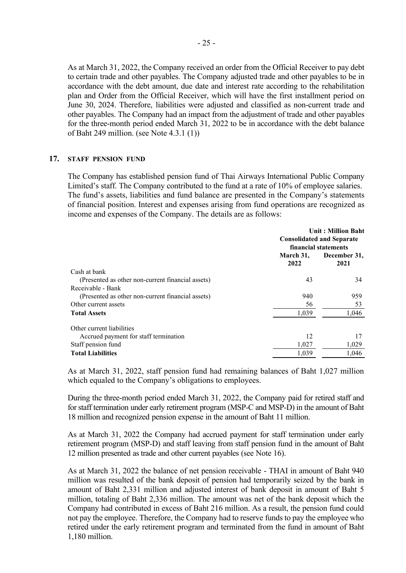As at March 31, 2022, the Company received an order from the Official Receiver to pay debt to certain trade and other payables. The Company adjusted trade and other payables to be in accordance with the debt amount, due date and interest rate according to the rehabilitation plan and Order from the Official Receiver, which will have the first installment period on June 30, 2024. Therefore, liabilities were adjusted and classified as non-current trade and other payables. The Company had an impact from the adjustment of trade and other payables for the three-month period ended March 31, 2022 to be in accordance with the debt balance of Baht 249 million. (see Note 4.3.1 (1))

#### **17. STAFF PENSION FUND**

The Company has established pension fund of Thai Airways International Public Company Limited's staff. The Company contributed to the fund at a rate of 10% of employee salaries. The fund's assets, liabilities and fund balance are presented in the Company's statements of financial position. Interest and expenses arising from fund operations are recognized as income and expenses of the Company. The details are as follows:

|                                                   |                   | <b>Unit: Million Baht</b><br><b>Consolidated and Separate</b><br>financial statements |  |
|---------------------------------------------------|-------------------|---------------------------------------------------------------------------------------|--|
|                                                   | March 31,<br>2022 | December 31,<br>2021                                                                  |  |
| Cash at bank                                      |                   |                                                                                       |  |
| (Presented as other non-current financial assets) | 43                | 34                                                                                    |  |
| Receivable - Bank                                 |                   |                                                                                       |  |
| (Presented as other non-current financial assets) | 940               | 959                                                                                   |  |
| Other current assets                              | 56                | 53                                                                                    |  |
| <b>Total Assets</b>                               | 1,039             | 1,046                                                                                 |  |
| Other current liabilities                         |                   |                                                                                       |  |
| Accrued payment for staff termination             | 12                | 17                                                                                    |  |
| Staff pension fund                                | 1,027             | 1,029                                                                                 |  |
| <b>Total Liabilities</b>                          | 1.039             | 1.046                                                                                 |  |

As at March 31, 2022, staff pension fund had remaining balances of Baht 1,027 million which equaled to the Company's obligations to employees.

During the three-month period ended March 31, 2022, the Company paid for retired staff and for staff termination under early retirement program (MSP-C and MSP-D) in the amount of Baht 18 million and recognized pension expense in the amount of Baht 11 million.

As at March 31, 2022 the Company had accrued payment for staff termination under early retirement program (MSP-D) and staff leaving from staff pension fund in the amount of Baht 12 million presented as trade and other current payables (see Note 16).

As at March 31, 2022 the balance of net pension receivable - THAI in amount of Baht 940 million was resulted of the bank deposit of pension had temporarily seized by the bank in amount of Baht 2,331 million and adjusted interest of bank deposit in amount of Baht 5 million, totaling of Baht 2,336 million. The amount was net of the bank deposit which the Company had contributed in excess of Baht 216 million. As a result, the pension fund could not pay the employee. Therefore, the Company had to reserve funds to pay the employee who retired under the early retirement program and terminated from the fund in amount of Baht 1,180 million.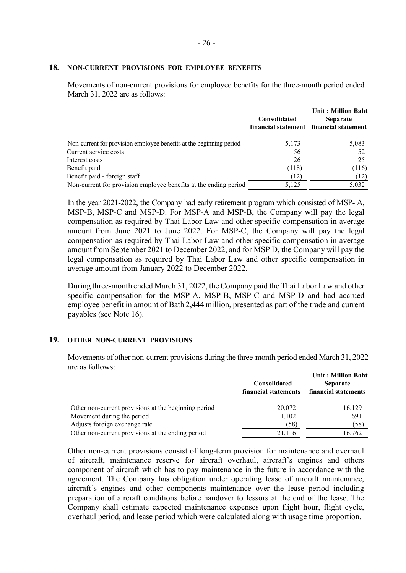#### **18. NON-CURRENT PROVISIONS FOR EMPLOYEE BENEFITS**

Movements of non-current provisions for employee benefits for the three-month period ended March 31, 2022 are as follows:

|                                                                     | Consolidated | <b>Unit: Million Baht</b><br><b>Separate</b><br>financial statement financial statement |
|---------------------------------------------------------------------|--------------|-----------------------------------------------------------------------------------------|
| Non-current for provision employee benefits at the beginning period | 5,173        | 5,083                                                                                   |
| Current service costs                                               | 56           | 52                                                                                      |
| Interest costs                                                      | 26           | 25                                                                                      |
| Benefit paid                                                        | (118)        | (116)                                                                                   |
| Benefit paid - foreign staff                                        | (12)         | (12)                                                                                    |
| Non-current for provision employee benefits at the ending period    | 5,125        | 5,032                                                                                   |

In the year 2021-2022, the Company had early retirement program which consisted of MSP- A, MSP-B, MSP-C and MSP-D. For MSP-A and MSP-B, the Company will pay the legal compensation as required by Thai Labor Law and other specific compensation in average amount from June 2021 to June 2022. For MSP-C, the Company will pay the legal compensation as required by Thai Labor Law and other specific compensation in average amount from September 2021 to December 2022, and for MSP D, the Company will pay the legal compensation as required by Thai Labor Law and other specific compensation in average amount from January 2022 to December 2022.

During three-month ended March 31, 2022, the Company paid the Thai Labor Law and other specific compensation for the MSP-A, MSP-B, MSP-C and MSP-D and had accrued employee benefit in amount of Bath 2,444 million, presented as part of the trade and current payables (see Note 16).

### **19. OTHER NON-CURRENT PROVISIONS**

Movements of other non-current provisions during the three-month period ended March 31, 2022 are as follows:

|                                                      | <b>Consolidated</b><br>financial statements | <b>Unit: Million Baht</b><br><b>Separate</b><br>financial statements |
|------------------------------------------------------|---------------------------------------------|----------------------------------------------------------------------|
| Other non-current provisions at the beginning period | 20,072                                      | 16,129                                                               |
| Movement during the period                           | 1,102                                       | 691                                                                  |
| Adjusts foreign exchange rate                        | (58)                                        | (58)                                                                 |
| Other non-current provisions at the ending period    | 21,116                                      | 16,762                                                               |

Other non-current provisions consist of long-term provision for maintenance and overhaul of aircraft, maintenance reserve for aircraft overhaul, aircraft's engines and others component of aircraft which has to pay maintenance in the future in accordance with the agreement. The Company has obligation under operating lease of aircraft maintenance, aircraft's engines and other components maintenance over the lease period including preparation of aircraft conditions before handover to lessors at the end of the lease. The Company shall estimate expected maintenance expenses upon flight hour, flight cycle, overhaul period, and lease period which were calculated along with usage time proportion.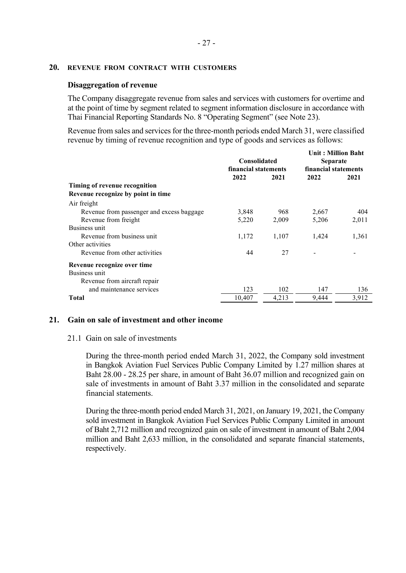## **20. REVENUE FROM CONTRACT WITH CUSTOMERS**

## **Disaggregation of revenue**

The Company disaggregate revenue from sales and services with customers for overtime and at the point of time by segment related to segment information disclosure in accordance with Thai Financial Reporting Standards No. 8 "Operating Segment" (see Note 23).

Revenue from sales and services for the three-month periods ended March 31, were classified revenue by timing of revenue recognition and type of goods and services as follows:

|                                           | <b>Consolidated</b><br>financial statements |       | <b>Unit: Million Baht</b><br><b>Separate</b><br>financial statements |       |
|-------------------------------------------|---------------------------------------------|-------|----------------------------------------------------------------------|-------|
|                                           | 2022                                        | 2021  | 2022                                                                 | 2021  |
| Timing of revenue recognition             |                                             |       |                                                                      |       |
| Revenue recognize by point in time        |                                             |       |                                                                      |       |
| Air freight                               |                                             |       |                                                                      |       |
| Revenue from passenger and excess baggage | 3,848                                       | 968   | 2,667                                                                | 404   |
| Revenue from freight                      | 5,220                                       | 2,009 | 5,206                                                                | 2,011 |
| Business unit                             |                                             |       |                                                                      |       |
| Revenue from business unit                | 1,172                                       | 1,107 | 1,424                                                                | 1,361 |
| Other activities                          |                                             |       |                                                                      |       |
| Revenue from other activities             | 44                                          | 27    |                                                                      |       |
| Revenue recognize over time               |                                             |       |                                                                      |       |
| Business unit                             |                                             |       |                                                                      |       |
| Revenue from aircraft repair              |                                             |       |                                                                      |       |
| and maintenance services                  | 123                                         | 102   | 147                                                                  | 136   |
| Total                                     | 10,407                                      | 4,213 | 9,444                                                                | 3,912 |

## **21. Gain on sale of investment and other income**

### 21.1 Gain on sale of investments

During the three-month period ended March 31, 2022, the Company sold investment in Bangkok Aviation Fuel Services Public Company Limited by 1.27 million shares at Baht 28.00 - 28.25 per share, in amount of Baht 36.07 million and recognized gain on sale of investments in amount of Baht 3.37 million in the consolidated and separate financial statements.

During the three-month period ended March 31, 2021, on January 19, 2021, the Company sold investment in Bangkok Aviation Fuel Services Public Company Limited in amount of Baht 2,712 million and recognized gain on sale of investment in amount of Baht 2,004 million and Baht 2,633 million, in the consolidated and separate financial statements, respectively.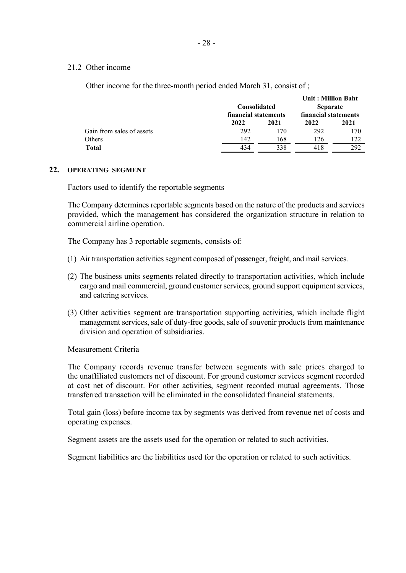## 21.2 Other income

Other income for the three-month period ended March 31, consist of ;

|                           |                      |      | <b>Unit: Million Baht</b> |      |  |
|---------------------------|----------------------|------|---------------------------|------|--|
|                           | <b>Consolidated</b>  |      | <b>Separate</b>           |      |  |
|                           | financial statements |      | financial statements      |      |  |
|                           | 2022                 | 2021 | 2022                      | 2021 |  |
| Gain from sales of assets | 292                  | 170  | 292                       | 170  |  |
| Others                    | 142                  | 168  | 126                       | 122  |  |
| <b>Total</b>              | 434                  | 338  | 418                       | 292  |  |

### **22. OPERATING SEGMENT**

Factors used to identify the reportable segments

The Company determines reportable segments based on the nature of the products and services provided, which the management has considered the organization structure in relation to commercial airline operation.

The Company has 3 reportable segments, consists of:

- (1) Air transportation activities segment composed of passenger, freight, and mail services.
- (2) The business units segments related directly to transportation activities, which include cargo and mail commercial, ground customer services, ground support equipment services, and catering services.
- (3) Other activities segment are transportation supporting activities, which include flight management services, sale of duty-free goods, sale of souvenir products from maintenance division and operation of subsidiaries.

Measurement Criteria

The Company records revenue transfer between segments with sale prices charged to the unaffiliated customers net of discount. For ground customer services segment recorded at cost net of discount. For other activities, segment recorded mutual agreements. Those transferred transaction will be eliminated in the consolidated financial statements.

Total gain (loss) before income tax by segments was derived from revenue net of costs and operating expenses.

Segment assets are the assets used for the operation or related to such activities.

Segment liabilities are the liabilities used for the operation or related to such activities.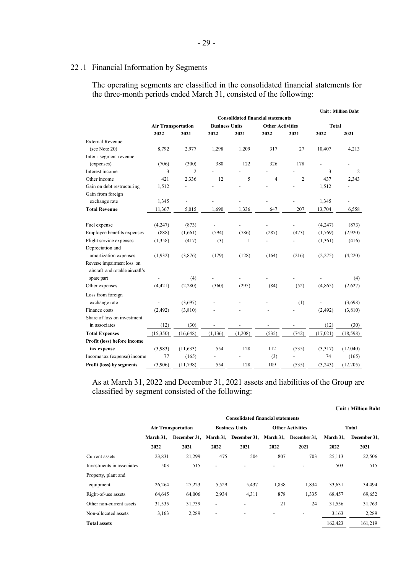# 22 .1 Financial Information by Segments

The operating segments are classified in the consolidated financial statements for the three-month periods ended March 31, consisted of the following:

|                                 |                                          |                |                |                       |                          |                         |              | <b>Unit: Million Baht</b> |
|---------------------------------|------------------------------------------|----------------|----------------|-----------------------|--------------------------|-------------------------|--------------|---------------------------|
|                                 | <b>Consolidated financial statements</b> |                |                |                       |                          |                         |              |                           |
|                                 | <b>Air Transportation</b>                |                |                | <b>Business Units</b> |                          | <b>Other Activities</b> | <b>Total</b> |                           |
|                                 | 2022                                     | 2021           | 2022           | 2021                  | 2022                     | 2021                    | 2022         | 2021                      |
| <b>External Revenue</b>         |                                          |                |                |                       |                          |                         |              |                           |
| (see Note 20)                   | 8,792                                    | 2,977          | 1,298          | 1,209                 | 317                      | 27                      | 10,407       | 4,213                     |
| Inter - segment revenue         |                                          |                |                |                       |                          |                         |              |                           |
| (expenses)                      | (706)                                    | (300)          | 380            | 122                   | 326                      | 178                     |              |                           |
| Interest income                 | 3                                        | $\overline{2}$ |                |                       |                          |                         | 3            | 2                         |
| Other income                    | 421                                      | 2,336          | 12             | 5                     | $\overline{4}$           | $\overline{c}$          | 437          | 2,343                     |
| Gain on debt restructuring      | 1,512                                    |                |                |                       |                          |                         | 1,512        |                           |
| Gain from foreign               |                                          |                |                |                       |                          |                         |              |                           |
| exchange rate                   | 1,345                                    |                |                |                       |                          |                         | 1,345        |                           |
| <b>Total Revenue</b>            | 11,367                                   | 5,015          | 1.690          | 1,336                 | 647                      | 207                     | 13,704       | 6,558                     |
|                                 |                                          |                |                |                       |                          |                         |              |                           |
| Fuel expense                    | (4,247)                                  | (873)          | $\frac{1}{2}$  |                       | $\overline{\phantom{0}}$ |                         | (4,247)      | (873)                     |
| Employee benefits expenses      | (888)                                    | (1,661)        | (594)          | (786)                 | (287)                    | (473)                   | (1,769)      | (2,920)                   |
| Flight service expenses         | (1,358)                                  | (417)          | (3)            | $\mathbf{1}$          |                          |                         | (1,361)      | (416)                     |
| Depreciation and                |                                          |                |                |                       |                          |                         |              |                           |
| amortization expenses           | (1,932)                                  | (3,876)        | (179)          | (128)                 | (164)                    | (216)                   | (2,275)      | (4,220)                   |
| Reverse impairment loss on      |                                          |                |                |                       |                          |                         |              |                           |
| aircraft and rotable aircraft's |                                          |                |                |                       |                          |                         |              |                           |
| spare part                      |                                          | (4)            |                |                       |                          |                         |              | (4)                       |
| Other expenses                  | (4, 421)                                 | (2,280)        | (360)          | (295)                 | (84)                     | (52)                    | (4,865)      | (2,627)                   |
| Loss from foreign               |                                          |                |                |                       |                          |                         |              |                           |
| exchange rate                   |                                          | (3,697)        |                |                       |                          | (1)                     |              | (3,698)                   |
| Finance costs                   | (2, 492)                                 | (3,810)        |                |                       |                          |                         | (2, 492)     | (3,810)                   |
| Share of loss on investment     |                                          |                |                |                       |                          |                         |              |                           |
| in associates                   | (12)                                     | (30)           |                |                       |                          |                         | (12)         | (30)                      |
| <b>Total Expenses</b>           | (15,350)                                 | (16,648)       | (1, 136)       | (1,208)               | (535)                    | (742)                   | (17,021)     | (18, 598)                 |
| Profit (loss) before income     |                                          |                |                |                       |                          |                         |              |                           |
| tax expense                     | (3,983)                                  | (11, 633)      | 554            | 128                   | 112                      | (535)                   | (3,317)      | (12,040)                  |
| Income tax (expense) income     | 77                                       | (165)          | $\overline{a}$ |                       | (3)                      |                         | 74           | (165)                     |
| Profit (loss) by segments       | (3,906)                                  | (11,798)       | 554            | 128                   | 109                      | (535)                   | (3,243)      | (12,205)                  |

As at March 31, 2022 and December 31, 2021 assets and liabilities of the Group are classified by segment consisted of the following:

|                           |           |                           |       |                                                            |       |                         |           | Unit : Million Bant |
|---------------------------|-----------|---------------------------|-------|------------------------------------------------------------|-------|-------------------------|-----------|---------------------|
|                           |           |                           |       | <b>Consolidated financial statements</b>                   |       |                         |           |                     |
|                           |           | <b>Air Transportation</b> |       | <b>Business Units</b>                                      |       | <b>Other Activities</b> | Total     |                     |
|                           | March 31, |                           |       | December 31, March 31, December 31, March 31, December 31, |       |                         | March 31, | December 31,        |
|                           | 2022      | 2021                      | 2022  | 2021                                                       | 2022  | 2021                    | 2022      | 2021                |
| Current assets            | 23,831    | 21,299                    | 475   | 504                                                        | 807   | 703                     | 25,113    | 22,506              |
| Investments in associates | 503       | 515                       |       |                                                            |       |                         | 503       | 515                 |
| Property, plant and       |           |                           |       |                                                            |       |                         |           |                     |
| equipment                 | 26,264    | 27,223                    | 5,529 | 5,437                                                      | 1,838 | 1,834                   | 33,631    | 34,494              |
| Right-of-use assets       | 64,645    | 64,006                    | 2,934 | 4,311                                                      | 878   | 1,335                   | 68,457    | 69,652              |
| Other non-current assets  | 31,535    | 31,739                    |       |                                                            | 21    | 24                      | 31,556    | 31,763              |
| Non-allocated assets      | 3,163     | 2,289                     |       |                                                            |       |                         | 3,163     | 2,289               |
| <b>Total assets</b>       |           |                           |       |                                                            |       |                         | 162,423   | 161,219             |

# **Unit : Million Baht**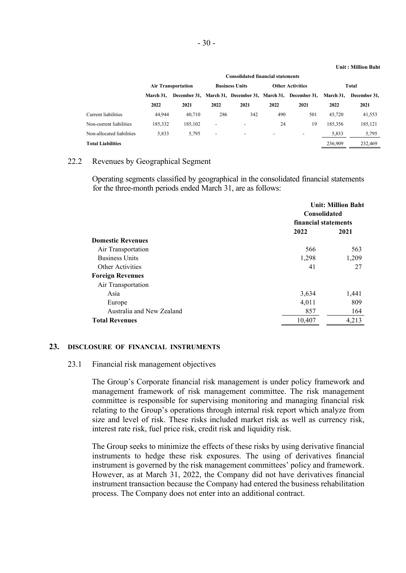#### **Unit : Million Baht**

|                           | <b>Consolidated financial statements</b>           |         |                          |                                                            |                          |                          |         |                           |
|---------------------------|----------------------------------------------------|---------|--------------------------|------------------------------------------------------------|--------------------------|--------------------------|---------|---------------------------|
|                           | <b>Business Units</b><br><b>Air Transportation</b> |         |                          |                                                            | <b>Other Activities</b>  | Total                    |         |                           |
|                           | March 31.                                          |         |                          | December 31, March 31, December 31, March 31, December 31, |                          |                          |         | March 31.<br>December 31. |
|                           | 2022                                               | 2021    | 2022                     | 2021                                                       | 2022                     | 2021                     | 2022    | 2021                      |
| Current liabilities       | 44,944                                             | 40,710  | 286                      | 342                                                        | 490                      | 501                      | 45,720  | 41,553                    |
| Non-current liabilities   | 185,332                                            | 185,102 | $\overline{\phantom{0}}$ | $\overline{\phantom{a}}$                                   | 24                       | 19                       | 185,356 | 185,121                   |
| Non-allocated liabilities | 5,833                                              | 5.795   | $\overline{\phantom{a}}$ | $\overline{\phantom{a}}$                                   | $\overline{\phantom{0}}$ | $\overline{\phantom{a}}$ | 5,833   | 5,795                     |
| <b>Total Liabilities</b>  |                                                    |         |                          |                                                            |                          |                          | 236,909 | 232,469                   |

## 22.2 Revenues by Geographical Segment

Operating segments classified by geographical in the consolidated financial statements for the three-month periods ended March 31, are as follows:

|                           |                      | <b>Unit: Million Baht</b><br><b>Consolidated</b> |  |  |
|---------------------------|----------------------|--------------------------------------------------|--|--|
|                           | financial statements |                                                  |  |  |
|                           | 2022                 | 2021                                             |  |  |
| <b>Domestic Revenues</b>  |                      |                                                  |  |  |
| Air Transportation        | 566                  | 563                                              |  |  |
| <b>Business Units</b>     | 1,298                | 1,209                                            |  |  |
| Other Activities          | 41                   | 27                                               |  |  |
| <b>Foreign Revenues</b>   |                      |                                                  |  |  |
| Air Transportation        |                      |                                                  |  |  |
| Asia                      | 3,634                | 1,441                                            |  |  |
| Europe                    | 4.011                | 809                                              |  |  |
| Australia and New Zealand | 857                  | 164                                              |  |  |
| <b>Total Revenues</b>     | 10,407               | 4,213                                            |  |  |

#### **23. DISCLOSURE OF FINANCIAL INSTRUMENTS**

#### 23.1 Financial risk management objectives

The Group's Corporate financial risk management is under policy framework and management framework of risk management committee. The risk management committee is responsible for supervising monitoring and managing financial risk relating to the Group's operations through internal risk report which analyze from size and level of risk. These risks included market risk as well as currency risk, interest rate risk, fuel price risk, credit risk and liquidity risk.

The Group seeks to minimize the effects of these risks by using derivative financial instruments to hedge these risk exposures. The using of derivatives financial instrument is governed by the risk management committees' policy and framework. However, as at March 31, 2022, the Company did not have derivatives financial instrument transaction because the Company had entered the business rehabilitation process. The Company does not enter into an additional contract.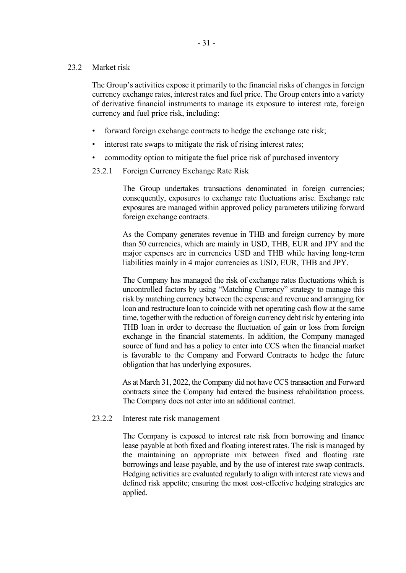## 23.2 Market risk

The Group's activities expose it primarily to the financial risks of changes in foreign currency exchange rates, interest rates and fuel price. The Group enters into a variety of derivative financial instruments to manage its exposure to interest rate, foreign currency and fuel price risk, including:

- forward foreign exchange contracts to hedge the exchange rate risk;
- interest rate swaps to mitigate the risk of rising interest rates;
- commodity option to mitigate the fuel price risk of purchased inventory
- 23.2.1 Foreign Currency Exchange Rate Risk

The Group undertakes transactions denominated in foreign currencies; consequently, exposures to exchange rate fluctuations arise. Exchange rate exposures are managed within approved policy parameters utilizing forward foreign exchange contracts.

As the Company generates revenue in THB and foreign currency by more than 50 currencies, which are mainly in USD, THB, EUR and JPY and the major expenses are in currencies USD and THB while having long-term liabilities mainly in 4 major currencies as USD, EUR, THB and JPY.

The Company has managed the risk of exchange rates fluctuations which is uncontrolled factors by using "Matching Currency" strategy to manage this risk by matching currency between the expense and revenue and arranging for loan and restructure loan to coincide with net operating cash flow at the same time, together with the reduction of foreign currency debt risk by entering into THB loan in order to decrease the fluctuation of gain or loss from foreign exchange in the financial statements. In addition, the Company managed source of fund and has a policy to enter into CCS when the financial market is favorable to the Company and Forward Contracts to hedge the future obligation that has underlying exposures.

As at March 31, 2022, the Company did not have CCS transaction and Forward contracts since the Company had entered the business rehabilitation process. The Company does not enter into an additional contract.

## 23.2.2 Interest rate risk management

The Company is exposed to interest rate risk from borrowing and finance lease payable at both fixed and floating interest rates. The risk is managed by the maintaining an appropriate mix between fixed and floating rate borrowings and lease payable, and by the use of interest rate swap contracts. Hedging activities are evaluated regularly to align with interest rate views and defined risk appetite; ensuring the most cost-effective hedging strategies are applied.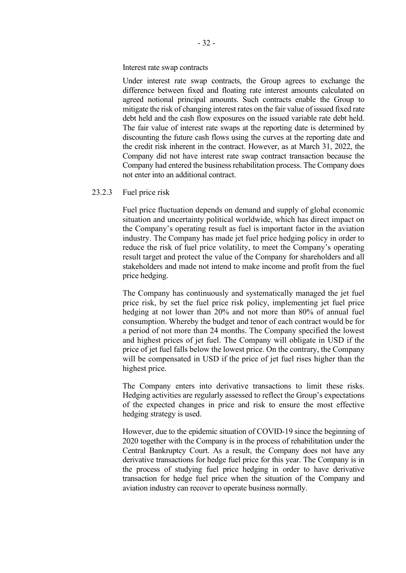#### Interest rate swap contracts

Under interest rate swap contracts, the Group agrees to exchange the difference between fixed and floating rate interest amounts calculated on agreed notional principal amounts. Such contracts enable the Group to mitigate the risk of changing interest rates on the fair value of issued fixed rate debt held and the cash flow exposures on the issued variable rate debt held. The fair value of interest rate swaps at the reporting date is determined by discounting the future cash flows using the curves at the reporting date and the credit risk inherent in the contract. However, as at March 31, 2022, the Company did not have interest rate swap contract transaction because the Company had entered the business rehabilitation process. The Company does not enter into an additional contract.

### 23.2.3 Fuel price risk

Fuel price fluctuation depends on demand and supply of global economic situation and uncertainty political worldwide, which has direct impact on the Company's operating result as fuel is important factor in the aviation industry. The Company has made jet fuel price hedging policy in order to reduce the risk of fuel price volatility, to meet the Company's operating result target and protect the value of the Company for shareholders and all stakeholders and made not intend to make income and profit from the fuel price hedging.

The Company has continuously and systematically managed the jet fuel price risk, by set the fuel price risk policy, implementing jet fuel price hedging at not lower than 20% and not more than 80% of annual fuel consumption. Whereby the budget and tenor of each contract would be for a period of not more than 24 months. The Company specified the lowest and highest prices of jet fuel. The Company will obligate in USD if the price of jet fuel falls below the lowest price. On the contrary, the Company will be compensated in USD if the price of jet fuel rises higher than the highest price.

The Company enters into derivative transactions to limit these risks. Hedging activities are regularly assessed to reflect the Group's expectations of the expected changes in price and risk to ensure the most effective hedging strategy is used.

However, due to the epidemic situation of COVID-19 since the beginning of 2020 together with the Company is in the process of rehabilitation under the Central Bankruptcy Court. As a result, the Company does not have any derivative transactions for hedge fuel price for this year. The Company is in the process of studying fuel price hedging in order to have derivative transaction for hedge fuel price when the situation of the Company and aviation industry can recover to operate business normally.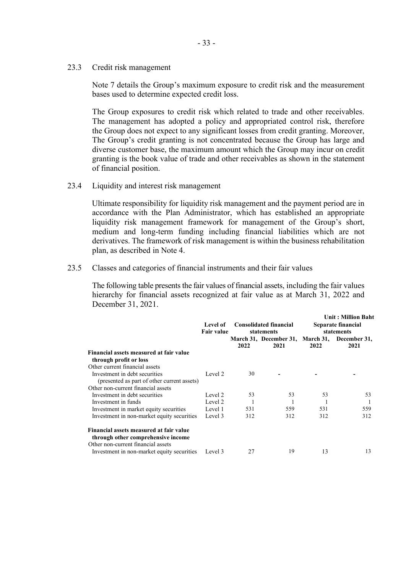23.3 Credit risk management

Note 7 details the Group's maximum exposure to credit risk and the measurement bases used to determine expected credit loss.

The Group exposures to credit risk which related to trade and other receivables. The management has adopted a policy and appropriated control risk, therefore the Group does not expect to any significant losses from credit granting. Moreover, The Group's credit granting is not concentrated because the Group has large and diverse customer base, the maximum amount which the Group may incur on credit granting is the book value of trade and other receivables as shown in the statement of financial position.

23.4 Liquidity and interest risk management

Ultimate responsibility for liquidity risk management and the payment period are in accordance with the Plan Administrator, which has established an appropriate liquidity risk management framework for management of the Group's short, medium and long-term funding including financial liabilities which are not derivatives. The framework of risk management is within the business rehabilitation plan, as described in Note 4.

23.5 Classes and categories of financial instruments and their fair values

The following table presents the fair values of financial assets, including the fair values hierarchy for financial assets recognized at fair value as at March 31, 2022 and December 31, 2021.

|                                                                                                                     | Level of<br><b>Fair value</b> |      | <b>Consolidated financial</b><br>statements |      | <b>Unit: Million Baht</b><br>Separate financial<br>statements |
|---------------------------------------------------------------------------------------------------------------------|-------------------------------|------|---------------------------------------------|------|---------------------------------------------------------------|
|                                                                                                                     |                               | 2022 | 2021                                        | 2022 | March 31, December 31, March 31, December 31,<br>2021         |
| Financial assets measured at fair value<br>through profit or loss                                                   |                               |      |                                             |      |                                                               |
| Other current financial assets                                                                                      |                               |      |                                             |      |                                                               |
| Investment in debt securities<br>(presented as part of other current assets)                                        | Level 2                       | 30   |                                             |      |                                                               |
| Other non-current financial assets                                                                                  |                               |      |                                             |      |                                                               |
| Investment in debt securities                                                                                       | Level 2                       | 53   | 53                                          | 53   | 53                                                            |
| Investment in funds                                                                                                 | Level 2                       |      |                                             |      |                                                               |
| Investment in market equity securities                                                                              | Level 1                       | 531  | 559                                         | 531  | 559                                                           |
| Investment in non-market equity securities                                                                          | Level 3                       | 312  | 312                                         | 312  | 312                                                           |
| Financial assets measured at fair value<br>through other comprehensive income<br>Other non-current financial assets |                               |      |                                             |      |                                                               |
| Investment in non-market equity securities                                                                          | Level 3                       | 27   | 19                                          | 13   | 13                                                            |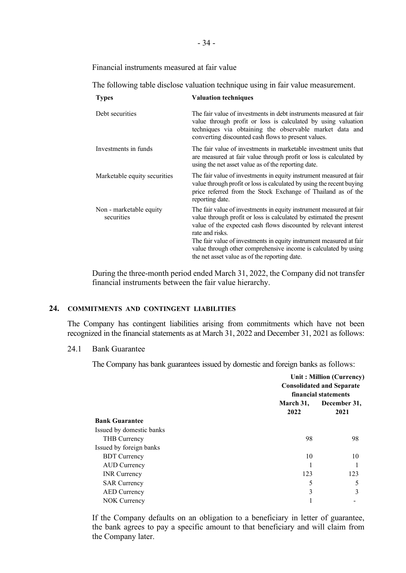Financial instruments measured at fair value

The following table disclose valuation technique using in fair value measurement.

| <b>Types</b>                          | <b>Valuation techniques</b>                                                                                                                                                                                                                                                                                                                                                                                                  |
|---------------------------------------|------------------------------------------------------------------------------------------------------------------------------------------------------------------------------------------------------------------------------------------------------------------------------------------------------------------------------------------------------------------------------------------------------------------------------|
| Debt securities                       | The fair value of investments in debt instruments measured at fair<br>value through profit or loss is calculated by using valuation<br>techniques via obtaining the observable market data and<br>converting discounted cash flows to present values.                                                                                                                                                                        |
| Investments in funds                  | The fair value of investments in marketable investment units that<br>are measured at fair value through profit or loss is calculated by<br>using the net asset value as of the reporting date.                                                                                                                                                                                                                               |
| Marketable equity securities          | The fair value of investments in equity instrument measured at fair<br>value through profit or loss is calculated by using the recent buying<br>price referred from the Stock Exchange of Thailand as of the<br>reporting date.                                                                                                                                                                                              |
| Non - marketable equity<br>securities | The fair value of investments in equity instrument measured at fair<br>value through profit or loss is calculated by estimated the present<br>value of the expected cash flows discounted by relevant interest<br>rate and risks.<br>The fair value of investments in equity instrument measured at fair<br>value through other comprehensive income is calculated by using<br>the net asset value as of the reporting date. |

During the three-month period ended March 31, 2022, the Company did not transfer financial instruments between the fair value hierarchy.

## **24. COMMITMENTS AND CONTINGENT LIABILITIES**

The Company has contingent liabilities arising from commitments which have not been recognized in the financial statements as at March 31, 2022 and December 31, 2021 as follows:

### 24.1 Bank Guarantee

The Company has bank guarantees issued by domestic and foreign banks as follows:

|                          |                   | Unit: Million (Currency)<br><b>Consolidated and Separate</b><br>financial statements |  |
|--------------------------|-------------------|--------------------------------------------------------------------------------------|--|
|                          | March 31,<br>2022 | December 31,<br>2021                                                                 |  |
| <b>Bank Guarantee</b>    |                   |                                                                                      |  |
| Issued by domestic banks |                   |                                                                                      |  |
| THB Currency             | 98                | 98                                                                                   |  |
| Issued by foreign banks  |                   |                                                                                      |  |
| <b>BDT</b> Currency      | 10                | 10                                                                                   |  |
| AUD Currency             |                   |                                                                                      |  |
| <b>INR</b> Currency      | 123               | 123                                                                                  |  |
| <b>SAR Currency</b>      | 5                 | 5                                                                                    |  |
| <b>AED</b> Currency      | 3                 | 3                                                                                    |  |
| NOK Currency             |                   |                                                                                      |  |
|                          |                   |                                                                                      |  |

If the Company defaults on an obligation to a beneficiary in letter of guarantee, the bank agrees to pay a specific amount to that beneficiary and will claim from the Company later.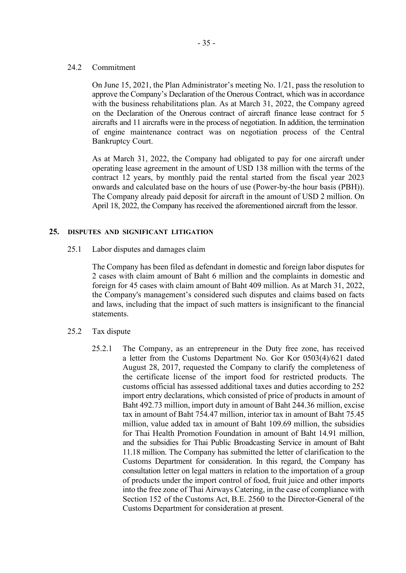## 24.2 Commitment

On June 15, 2021, the Plan Administrator's meeting No. 1/21, pass the resolution to approve the Company's Declaration of the Onerous Contract, which was in accordance with the business rehabilitations plan. As at March 31, 2022, the Company agreed on the Declaration of the Onerous contract of aircraft finance lease contract for 5 aircrafts and 11 aircrafts were in the process of negotiation. In addition, the termination of engine maintenance contract was on negotiation process of the Central Bankruptcy Court.

As at March 31, 2022, the Company had obligated to pay for one aircraft under operating lease agreement in the amount of USD 138 million with the terms of the contract 12 years, by monthly paid the rental started from the fiscal year 2023 onwards and calculated base on the hours of use (Power-by-the hour basis (PBH)). The Company already paid deposit for aircraft in the amount of USD 2 million. On April 18, 2022, the Company has received the aforementioned aircraft from the lessor.

## **25. DISPUTES AND SIGNIFICANT LITIGATION**

25.1 Labor disputes and damages claim

The Company has been filed as defendant in domestic and foreign labor disputes for 2 cases with claim amount of Baht 6 million and the complaints in domestic and foreign for 45 cases with claim amount of Baht 409 million. As at March 31, 2022, the Company's management's considered such disputes and claims based on facts and laws, including that the impact of such matters is insignificant to the financial statements.

- 25.2 Tax dispute
	- 25.2.1 The Company, as an entrepreneur in the Duty free zone, has received a letter from the Customs Department No. Gor Kor 0503(4)/621 dated August 28, 2017, requested the Company to clarify the completeness of the certificate license of the import food for restricted products. The customs official has assessed additional taxes and duties according to 252 import entry declarations, which consisted of price of products in amount of Baht 492.73 million, import duty in amount of Baht 244.36 million, excise tax in amount of Baht 754.47 million, interior tax in amount of Baht 75.45 million, value added tax in amount of Baht 109.69 million, the subsidies for Thai Health Promotion Foundation in amount of Baht 14.91 million, and the subsidies for Thai Public Broadcasting Service in amount of Baht 11.18 million. The Company has submitted the letter of clarification to the Customs Department for consideration. In this regard, the Company has consultation letter on legal matters in relation to the importation of a group of products under the import control of food, fruit juice and other imports into the free zone of Thai Airways Catering, in the case of compliance with Section 152 of the Customs Act, B.E. 2560 to the Director-General of the Customs Department for consideration at present.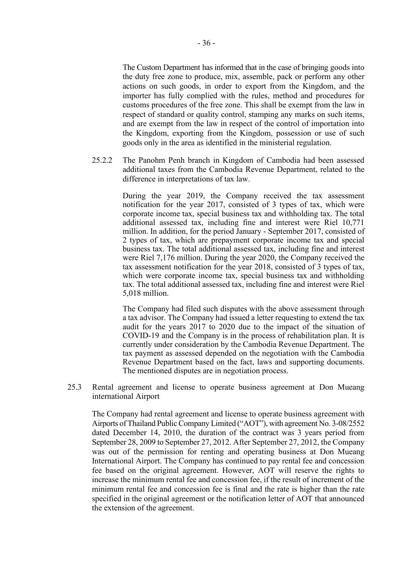The Custom Department has informed that in the case of bringing goods into the duty free zone to produce, mix, assemble, pack or perform any other actions on such goods, in order to export from the Kingdom, and the importer has fully complied with the rules, method and procedures for customs procedures of the free zone. This shall be exempt from the law in respect of standard or quality control, stamping any marks on such items, and are exempt from the law in respect of the control of importation into the Kingdom, exporting from the Kingdom, possession or use of such goods only in the area as identified in the ministerial regulation.

25.2.2 The Panohm Penh branch in Kingdom of Cambodia had been assessed additional taxes from the Cambodia Revenue Department, related to the difference in interpretations of tax law.

> During the year 2019, the Company received the tax assessment notification for the year 2017, consisted of 3 types of tax, which were corporate income tax, special business tax and withholding tax. The total additional assessed tax, including fine and interest were Riel 10,771 million. In addition, for the period January - September 2017, consisted of 2 types of tax, which are prepayment corporate income tax and special business tax. The total additional assessed tax, including fine and interest were Riel 7,176 million. During the year 2020, the Company received the tax assessment notification for the year 2018, consisted of 3 types of tax, which were corporate income tax, special business tax and withholding tax. The total additional assessed tax, including fine and interest were Riel 5,018 million.

> The Company had filed such disputes with the above assessment through a tax advisor. The Company had issued a letter requesting to extend the tax audit for the years 2017 to 2020 due to the impact of the situation of COVID-19 and the Company is in the process of rehabilitation plan. It is currently under consideration by the Cambodia Revenue Department. The tax payment as assessed depended on the negotiation with the Cambodia Revenue Department based on the fact, laws and supporting documents. The mentioned disputes are in negotiation process.

25.3 Rental agreement and license to operate business agreement at Don Mueang international Airport

The Company had rental agreement and license to operate business agreement with Airports of Thailand Public Company Limited ("AOT"), with agreement No. 3-08/2552 dated December 14, 2010, the duration of the contract was 3 years period from September 28, 2009 to September 27, 2012. After September 27, 2012, the Company was out of the permission for renting and operating business at Don Mueang International Airport. The Company has continued to pay rental fee and concession fee based on the original agreement. However, AOT will reserve the rights to increase the minimum rental fee and concession fee, if the result of increment of the minimum rental fee and concession fee is final and the rate is higher than the rate specified in the original agreement or the notification letter of AOT that announced the extension of the agreement.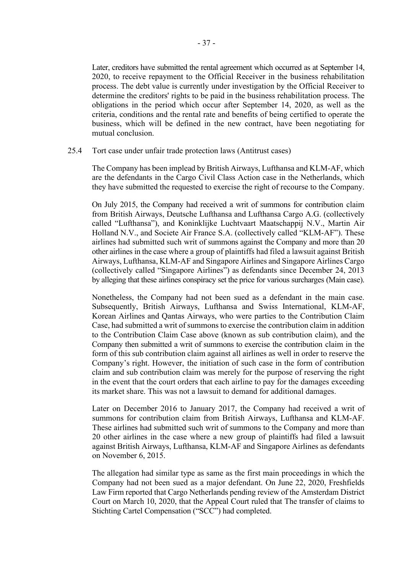Later, creditors have submitted the rental agreement which occurred as at September 14, 2020, to receive repayment to the Official Receiver in the business rehabilitation process. The debt value is currently under investigation by the Official Receiver to determine the creditors' rights to be paid in the business rehabilitation process. The obligations in the period which occur after September 14, 2020, as well as the criteria, conditions and the rental rate and benefits of being certified to operate the business, which will be defined in the new contract, have been negotiating for mutual conclusion.

### 25.4 Tort case under unfair trade protection laws (Antitrust cases)

The Company has been implead by British Airways, Lufthansa and KLM-AF, which are the defendants in the Cargo Civil Class Action case in the Netherlands, which they have submitted the requested to exercise the right of recourse to the Company.

On July 2015, the Company had received a writ of summons for contribution claim from British Airways, Deutsche Lufthansa and Lufthansa Cargo A.G. (collectively called "Lufthansa"), and Koninklijke Luchtvaart Maatschappij N.V., Martin Air Holland N.V., and Societe Air France S.A. (collectively called "KLM-AF"). These airlines had submitted such writ of summons against the Company and more than 20 other airlines in the case where a group of plaintiffs had filed a lawsuit against British Airways, Lufthansa, KLM-AF and Singapore Airlines and Singapore Airlines Cargo (collectively called "Singapore Airlines") as defendants since December 24, 2013 by alleging that these airlines conspiracy set the price for various surcharges (Main case).

Nonetheless, the Company had not been sued as a defendant in the main case. Subsequently, British Airways, Lufthansa and Swiss International, KLM-AF, Korean Airlines and Qantas Airways, who were parties to the Contribution Claim Case, had submitted a writ of summons to exercise the contribution claim in addition to the Contribution Claim Case above (known as sub contribution claim), and the Company then submitted a writ of summons to exercise the contribution claim in the form of this sub contribution claim against all airlines as well in order to reserve the Company's right. However, the initiation of such case in the form of contribution claim and sub contribution claim was merely for the purpose of reserving the right in the event that the court orders that each airline to pay for the damages exceeding its market share. This was not a lawsuit to demand for additional damages.

Later on December 2016 to January 2017, the Company had received a writ of summons for contribution claim from British Airways, Lufthansa and KLM-AF. These airlines had submitted such writ of summons to the Company and more than 20 other airlines in the case where a new group of plaintiffs had filed a lawsuit against British Airways, Lufthansa, KLM-AF and Singapore Airlines as defendants on November 6, 2015.

The allegation had similar type as same as the first main proceedings in which the Company had not been sued as a major defendant. On June 22, 2020, Freshfields Law Firm reported that Cargo Netherlands pending review of the Amsterdam District Court on March 10, 2020, that the Appeal Court ruled that The transfer of claims to Stichting Cartel Compensation ("SCC") had completed.